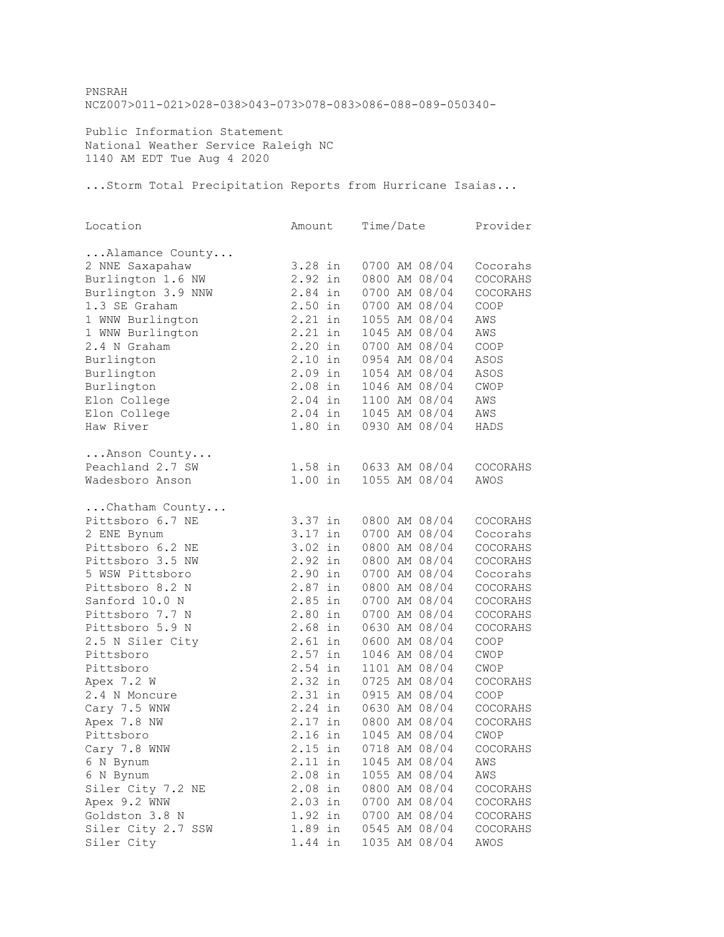PNSRAH NCZ007>011-021>028-038>043-073>078-083>086-088-089-050340-

Public Information Statement National Weather Service Raleigh NC 1140 AM EDT Tue Aug 4 2020

...Storm Total Precipitation Reports from Hurricane Isaias...

| Location           | Amount    | Time/Date |               | Provider |
|--------------------|-----------|-----------|---------------|----------|
| Alamance County    |           |           |               |          |
| 2 NNE Saxapahaw    | 3.28 in   |           | 0700 AM 08/04 | Cocorahs |
| Burlington 1.6 NW  | 2.92 in   |           | 0800 AM 08/04 | COCORAHS |
| Burlington 3.9 NNW | 2.84 in   |           | 0700 AM 08/04 | COCORAHS |
| 1.3 SE Graham      | 2.50 in   |           | 0700 AM 08/04 | COOP     |
| 1 WNW Burlington   | 2.21 in   |           | 1055 AM 08/04 | AWS      |
| 1 WNW Burlington   | 2.21 in   |           | 1045 AM 08/04 | AWS      |
| 2.4 N Graham       | 2.20 in   |           | 0700 AM 08/04 | COOP     |
| Burlington         | $2.10$ in |           | 0954 AM 08/04 | ASOS     |
| Burlington         | 2.09 in   |           | 1054 AM 08/04 | ASOS     |
| Burlington         | $2.08$ in |           | 1046 AM 08/04 | CWOP     |
| Elon College       | 2.04 in   |           | 1100 AM 08/04 | AWS      |
| Elon College       | $2.04$ in |           | 1045 AM 08/04 | AWS      |
| Haw River          | $1.80$ in |           | 0930 AM 08/04 | HADS     |
|                    |           |           |               |          |
| Anson County       |           |           |               |          |
| Peachland 2.7 SW   | $1.58$ in |           | 0633 AM 08/04 | COCORAHS |
| Wadesboro Anson    | $1.00$ in |           | 1055 AM 08/04 | AWOS     |
|                    |           |           |               |          |
| Chatham County     |           |           |               |          |
| Pittsboro 6.7 NE   | 3.37 in   |           | 0800 AM 08/04 | COCORAHS |
| 2 ENE Bynum        | 3.17 in   |           | 0700 AM 08/04 | Cocorahs |
| Pittsboro 6.2 NE   | 3.02 in   |           | 0800 AM 08/04 | COCORAHS |
| Pittsboro 3.5 NW   | 2.92 in   |           | 0800 AM 08/04 | COCORAHS |
| 5 WSW Pittsboro    | 2.90 in   |           | 0700 AM 08/04 | Cocorahs |
| Pittsboro 8.2 N    | 2.87 in   |           | 0800 AM 08/04 | COCORAHS |
| Sanford 10.0 N     | 2.85 in   |           | 0700 AM 08/04 | COCORAHS |
| Pittsboro 7.7 N    | 2.80 in   |           | 0700 AM 08/04 | COCORAHS |
| Pittsboro 5.9 N    | 2.68 in   |           | 0630 AM 08/04 | COCORAHS |
| 2.5 N Siler City   | $2.61$ in |           | 0600 AM 08/04 | COOP     |
| Pittsboro          | 2.57 in   |           | 1046 AM 08/04 | CWOP     |
| Pittsboro          | 2.54 in   |           | 1101 AM 08/04 | CWOP     |
| Apex 7.2 W         | $2.32$ in |           | 0725 AM 08/04 | COCORAHS |
| 2.4 N Moncure      | 2.31 in   |           | 0915 AM 08/04 | COOP     |
| Cary 7.5 WNW       | 2.24 in   |           | 0630 AM 08/04 | COCORAHS |
| Apex 7.8 NW        | $2.17$ in |           | 0800 AM 08/04 | COCORAHS |
| Pittsboro          | 2.16 in   |           | 1045 AM 08/04 | CWOP     |
| Cary 7.8 WNW       | 2.15 in   |           | 0718 AM 08/04 | COCORAHS |
| 6 N Bynum          | 2.11 in   |           | 1045 AM 08/04 | AWS      |
| 6 N Bynum          | $2.08$ in |           | 1055 AM 08/04 | AWS      |
| Siler City 7.2 NE  | 2.08 in   |           | 0800 AM 08/04 | COCORAHS |
| Apex 9.2 WNW       | $2.03$ in |           | 0700 AM 08/04 | COCORAHS |
| Goldston 3.8 N     | 1.92 in   |           | 0700 AM 08/04 | COCORAHS |
| Siler City 2.7 SSW | 1.89 in   |           | 0545 AM 08/04 | COCORAHS |
| Siler City         | 1.44 in   |           | 1035 AM 08/04 | AWOS     |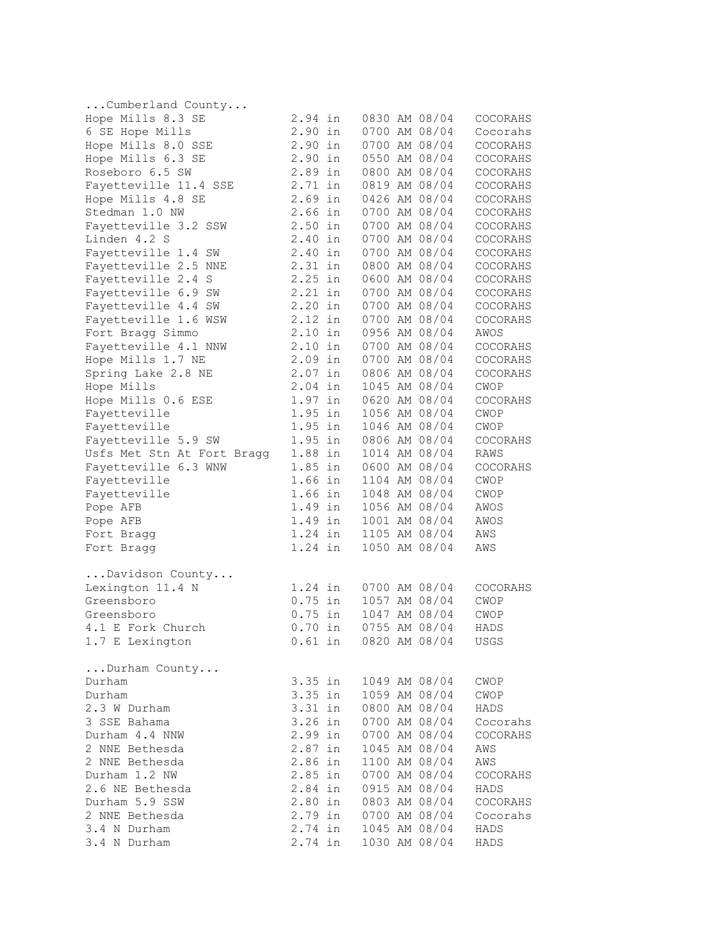| Cumberland County              |           |    |                       |                            |          |
|--------------------------------|-----------|----|-----------------------|----------------------------|----------|
| Hope Mills 8.3 SE              | 2.94 in   |    |                       | 0830 AM 08/04              | COCORAHS |
| 6 SE Hope Mills                | 2.90 in   |    |                       | 0700 AM 08/04              | Cocorahs |
| Hope Mills 8.0 SSE             | 2.90 in   |    |                       | 0700 AM 08/04              | COCORAHS |
| Hope Mills 6.3 SE              | $2.90$ in |    |                       | 0550 AM 08/04              | COCORAHS |
| Roseboro 6.5 SW                | 2.89 in   |    |                       | 0800 AM 08/04              | COCORAHS |
| Fayetteville 11.4 SSE          | $2.71$ in |    |                       | 0819 AM 08/04              | COCORAHS |
| Hope Mills 4.8 SE              | $2.69$ in |    |                       | 0426 AM 08/04              | COCORAHS |
| Stedman 1.0 NW                 | 2.66 in   |    |                       | 0700 AM 08/04              | COCORAHS |
| Fayetteville 3.2 SSW           | $2.50$ in |    |                       | 0700 AM 08/04              | COCORAHS |
| Linden 4.2 S                   | 2.40      | in |                       | 0700 AM 08/04              | COCORAHS |
| Fayetteville 1.4 SW            | 2.40 in   |    |                       | 0700 AM 08/04              | COCORAHS |
| Fayetteville 2.5 NNE           | $2.31$ in |    |                       | 0800 AM 08/04              | COCORAHS |
| Fayetteville 2.4 S             | 2.25 in   |    |                       | 0600 AM 08/04              | COCORAHS |
| Fayetteville 6.9 SW            | $2.21$ in |    |                       | 0700 AM 08/04              | COCORAHS |
| Fayetteville 4.4 SW            | 2.20 in   |    |                       | 0700 AM 08/04              | COCORAHS |
| Fayetteville 1.6 WSW           | 2.12 in   |    |                       | 0700 AM 08/04              | COCORAHS |
| Fort Bragg Simmo               | $2.10$ in |    |                       | 0956 AM 08/04              | AWOS     |
| Fayetteville 4.1 NNW           | $2.10$ in |    |                       | 0700 AM 08/04              | COCORAHS |
| Hope Mills 1.7 NE              | $2.09$ in |    |                       | 0700 AM 08/04              | COCORAHS |
| Spring Lake 2.8 NE             | $2.07$ in |    |                       | 0806 AM 08/04              | COCORAHS |
| Hope Mills                     | $2.04$ in |    |                       | 1045 AM 08/04              | CWOP     |
| Hope Mills 0.6 ESE             | $1.97$ in |    |                       | 0620 AM 08/04              | COCORAHS |
| Fayetteville                   | $1.95$ in |    |                       | 1056 AM 08/04              | CWOP     |
| Fayetteville                   | 1.95 in   |    |                       | 1046 AM 08/04              | CWOP     |
| Fayetteville 5.9 SW            | 1.95 in   |    |                       | 0806 AM 08/04              | COCORAHS |
| Usfs Met Stn At Fort Bragg     | 1.88 in   |    |                       | 1014 AM 08/04              | RAWS     |
| Fayetteville 6.3 WNW           | 1.85 in   |    |                       | 0600 AM 08/04              | COCORAHS |
| Fayetteville                   | 1.66 in   |    |                       | 1104 AM 08/04              | CWOP     |
| Fayetteville                   | $1.66$ in |    |                       | 1048 AM 08/04              | CWOP     |
|                                | 1.49 in   |    |                       | 1056 AM 08/04              | AWOS     |
| Pope AFB                       |           |    |                       | 1001 AM 08/04              |          |
| Pope AFB                       | 1.49 in   |    |                       |                            | AWOS     |
| Fort Bragg                     | 1.24 in   |    |                       | 1105 AM 08/04              | AWS      |
| Fort Bragg                     | 1.24 in   |    |                       | 1050 AM 08/04              | AWS      |
| Davidson County                |           |    |                       |                            |          |
| Lexington 11.4 N               | 1.24 in   |    |                       | 0700 AM 08/04              | COCORAHS |
| Greensboro                     | $0.75$ in |    |                       | 1057 AM 08/04              | CWOP     |
| Greensboro                     | $0.75$ in |    |                       | 1047 AM 08/04              | CWOP     |
| 4.1 E Fork Church              |           |    |                       | 0.70 in 0755 AM 08/04      | HADS     |
| 1.7 E Lexington                |           |    |                       | 0.61 in 0820 AM 08/04 USGS |          |
| Durham County                  |           |    |                       |                            |          |
| Durham                         |           |    |                       | 3.35 in 1049 AM 08/04      | CWOP     |
| Durham                         |           |    | 3.35 in 1059 AM 08/04 |                            | CWOP     |
| 2.3 W Durham                   | $3.31$ in |    |                       | 0800 AM 08/04              | HADS     |
| 3 SSE Bahama                   | 3.26 in   |    |                       | 0700 AM 08/04              | Cocorahs |
| Durham 4.4 NNW                 | 2.99 in   |    |                       | 0700 AM 08/04              | COCORAHS |
| 2 NNE Bethesda                 | $2.87$ in |    |                       | 1045 AM 08/04              | AWS      |
| 2 NNE Bethesda                 | 2.86 in   |    |                       | 1100 AM 08/04              | AWS      |
| Durham 1.2 NW                  |           |    |                       | 2.85 in 0700 AM 08/04      | COCORAHS |
| 2.6 NE Bethesda                |           |    |                       | 2.84 in 0915 AM 08/04      |          |
| Durham 5.9 SSW                 |           |    |                       | 2.80 in 0803 AM 08/04      | HADS     |
|                                |           |    |                       |                            | COCORAHS |
| 2 NNE Bethesda<br>3.4 N Durham |           |    |                       | 2.79 in 0700 AM 08/04      | Cocorahs |
|                                |           |    |                       | $2.74$ in 1045 AM 08/04    | HADS     |
| 3.4 N Durham                   |           |    |                       | 2.74 in 1030 AM 08/04      | HADS     |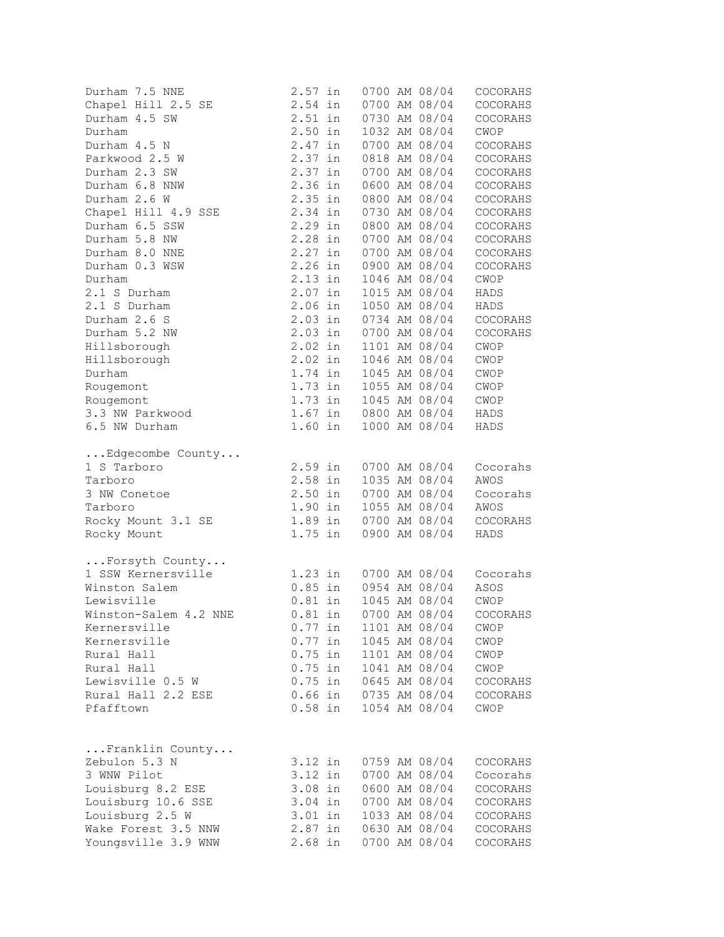| Durham 7.5 NNE        | $2.57$ in          |           |  | 0700 AM 08/04                                                           | COCORAHS                       |
|-----------------------|--------------------|-----------|--|-------------------------------------------------------------------------|--------------------------------|
| Chapel Hill 2.5 SE    | $2.54$ in          |           |  | 0700 AM 08/04                                                           | COCORAHS                       |
| Durham 4.5 SW         | $2.51$ in          |           |  | 0730 AM 08/04                                                           | COCORAHS                       |
| Durham                | $2.50$ in          |           |  | 1032 AM 08/04                                                           | CWOP                           |
| Durham 4.5 N          | 2.47 in            |           |  | 0700 AM 08/04                                                           | COCORAHS                       |
| Parkwood 2.5 W        | 2.37 in            |           |  | 0818 AM 08/04                                                           | COCORAHS                       |
| Durham 2.3 SW         | 2.37 in            |           |  | 0700 AM 08/04                                                           | COCORAHS                       |
| Durham 6.8 NNW        | 2.36 in            |           |  | 0600 AM 08/04                                                           | COCORAHS                       |
| Durham 2.6 W          | $2.35$ in          |           |  | 0800 AM 08/04                                                           | COCORAHS                       |
| Chapel Hill 4.9 SSE   | 2.34 in            |           |  | 0730 AM 08/04                                                           | COCORAHS                       |
| Durham 6.5 SSW        | 2.29 in            |           |  | 0800 AM 08/04                                                           | COCORAHS                       |
| Durham 5.8 NW         | 2.28 in            |           |  | 0700 AM 08/04                                                           | COCORAHS                       |
| Durham 8.0 NNE        | $2.27$ in          |           |  | 0700 AM 08/04                                                           | COCORAHS                       |
| Durham 0.3 WSW        | 2.26 in            |           |  | 0900 AM 08/04                                                           | COCORAHS                       |
| Durham                | 2.13 in            |           |  | 1046 AM 08/04                                                           | CWOP                           |
| 2.1 S Durham          | $2.07$ in          |           |  | 1015 AM 08/04                                                           | HADS                           |
| 2.1 S Durham          | $2.06$ in          |           |  | 1050 AM 08/04                                                           | HADS                           |
| Durham 2.6 S          |                    |           |  | 2.03 in 0734 AM 08/04                                                   | COCORAHS                       |
| Durham 5.2 NW         |                    |           |  | 2.03 in 0700 AM 08/04                                                   | COCORAHS                       |
| Hillsborough          |                    |           |  | 1101 AM 08/04                                                           | CWOP                           |
| Hillsborough          | 2.02 in<br>2.02 in |           |  | 1046 AM 08/04                                                           | CWOP                           |
| Durham                |                    | $1.74$ in |  | 1045 AM 08/04                                                           | CWOP                           |
| Rougemont             |                    |           |  | 1.73 in 1055 AM 08/04                                                   | CWOP                           |
| Rougemont             |                    |           |  | 1.73 in 1045 AM 08/04                                                   | CWOP                           |
| 3.3 NW Parkwood       |                    |           |  | 1.67 in 0800 AM 08/04                                                   | HADS                           |
| 6.5 NW Durham         |                    |           |  | 1.60 in 1000 AM 08/04                                                   | HADS                           |
| Edgecombe County      |                    |           |  |                                                                         |                                |
| 1 S Tarboro           |                    |           |  | 2.59 in 0700 AM 08/04                                                   | Cocorahs                       |
| Tarboro               | $2.58$ in          |           |  | 1035 AM 08/04                                                           | AWOS                           |
| 3 NW Conetoe          |                    |           |  | 2.50 in 0700 AM 08/04                                                   | Cocorahs                       |
| Tarboro               |                    |           |  | 1.90 in 1055 AM 08/04                                                   | AWOS                           |
| Rocky Mount 3.1 SE    |                    |           |  | 1.89 in 0700 AM 08/04                                                   | COCORAHS                       |
| Rocky Mount           |                    |           |  | 1.75 in 0900 AM 08/04                                                   | HADS                           |
| Forsyth County        |                    |           |  |                                                                         |                                |
| 1 SSW Kernersville    |                    |           |  |                                                                         | Cocorahs                       |
| Winston Salem         |                    |           |  |                                                                         | ASOS                           |
| Lewisville            |                    |           |  | 1.23 in 0700 AM 08/04<br>0.85 in 0954 AM 08/04<br>0.81 in 1045 AM 08/04 | CWOP                           |
| Winston-Salem 4.2 NNE |                    |           |  |                                                                         | 0.81 in 0700 AM 08/04 COCORAHS |
| Kernersville          | $0.77$ in          |           |  | 1101 AM 08/04                                                           | CWOP                           |
| Kernersville          | $0.77$ in          |           |  | 1045 AM 08/04                                                           | CWOP                           |
| Rural Hall            | $0.75$ in          |           |  | 1101 AM 08/04                                                           | CWOP                           |
| Rural Hall            | $0.75$ in          |           |  | 1041 AM 08/04                                                           | CWOP                           |
| Lewisville 0.5 W      | $0.75$ in          |           |  | 0645 AM 08/04                                                           | COCORAHS                       |
| Rural Hall 2.2 ESE    | $0.66$ in          |           |  | 0735 AM 08/04                                                           | COCORAHS                       |
| Pfafftown             |                    | $0.58$ in |  | 1054 AM 08/04                                                           | CWOP                           |
|                       |                    |           |  |                                                                         |                                |
| Franklin County       |                    |           |  |                                                                         |                                |
| Zebulon 5.3 N         | 3.12 in            |           |  | 0759 AM 08/04                                                           | COCORAHS                       |
| 3 WNW Pilot           | 3.12 in            |           |  | 0700 AM 08/04                                                           | Cocorahs                       |
| Louisburg 8.2 ESE     | 3.08 in            |           |  | 0600 AM 08/04                                                           | COCORAHS                       |
| Louisburg 10.6 SSE    | 3.04 in            |           |  | 0700 AM 08/04                                                           | COCORAHS                       |
| Louisburg 2.5 W       | $3.01$ in          |           |  | 1033 AM 08/04                                                           | COCORAHS                       |
| Wake Forest 3.5 NNW   | $2.87$ in          |           |  | 0630 AM 08/04                                                           | COCORAHS                       |
| Youngsville 3.9 WNW   | $2.68$ in          |           |  | 0700 AM 08/04                                                           | COCORAHS                       |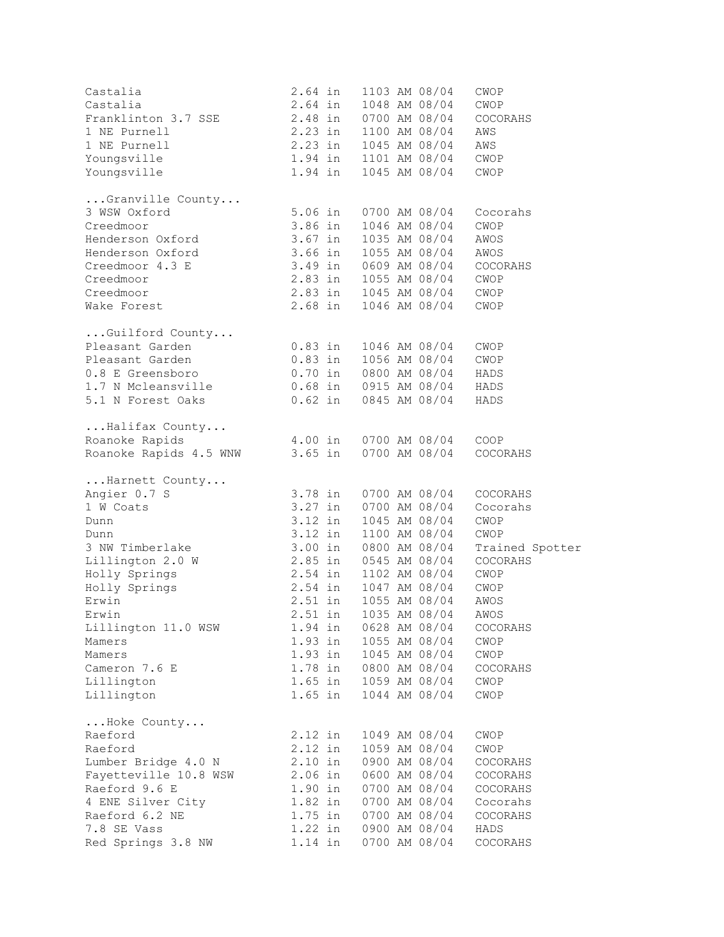| Castalia                   | $2.64$ in                                      |                                                | 1103 AM 08/04               | CWOP            |
|----------------------------|------------------------------------------------|------------------------------------------------|-----------------------------|-----------------|
| Castalia                   |                                                |                                                | 1048 AM 08/04               | CWOP            |
| Franklinton 3.7 SSE        | 2.64 in<br>2.48 in                             |                                                | 0700 AM 08/04               | COCORAHS        |
| 1 NE Purnell               | $2.23$ in                                      |                                                | 1100 AM 08/04               | AWS             |
| 1 NE Purnell               | 2.23 in                                        |                                                | 1045 AM 08/04               | AWS             |
|                            |                                                |                                                |                             |                 |
| Youngsville                | 1.94 in 1101 AM 08/04                          |                                                |                             | CWOP            |
| Youngsville                | 1.94 in                                        |                                                | 1045 AM 08/04               | CWOP            |
| Granville County           |                                                |                                                |                             |                 |
| 3 WSW Oxford               | 5.06 in                                        |                                                | 0700 AM 08/04               | Cocorahs        |
| Creedmoor                  |                                                |                                                |                             | CWOP            |
| Henderson Oxford           |                                                | 3.86 in 1046 AM 08/04<br>3.67 in 1035 AM 08/04 | 1035 AM 08/04               | AWOS            |
| Henderson Oxford           | 3.66 in 1055 AM 08/04                          |                                                |                             | AWOS            |
| 3.49 in<br>Creedmoor 4.3 E |                                                |                                                | 0609 AM 08/04               | COCORAHS        |
| Creedmoor                  | 2.83 in 1055 AM 08/04                          |                                                |                             | CWOP            |
| Creedmoor                  | 2.83 in 1045 AM 08/04                          |                                                |                             | CWOP            |
|                            |                                                |                                                |                             |                 |
| Wake Forest                |                                                |                                                | 2.68 in 1046 AM 08/04       | CWOP            |
| $\ldots$ Guilford County   |                                                |                                                |                             |                 |
| Pleasant Garden            |                                                | 0.83 in 1046 AM 08/04                          |                             | CWOP            |
| Pleasant Garden            |                                                |                                                | $0.83$ in $1056$ AM $08/04$ | CWOP            |
| 0.8 E Greensboro           | $0.70$ in                                      |                                                | 0800 AM 08/04               | HADS            |
|                            |                                                |                                                |                             | HADS            |
| 5.1 N Forest Oaks          | $0.62$ in                                      |                                                | 0845 AM 08/04               | HADS            |
| Halifax County             |                                                |                                                |                             |                 |
| Roanoke Rapids             |                                                |                                                | 4.00 in 0700 AM 08/04 COOP  |                 |
| Roanoke Rapids 4.5 WNW     |                                                | 3.65 in 0700 AM 08/04                          |                             | COCORAHS        |
|                            |                                                |                                                |                             |                 |
| Harnett County             |                                                |                                                |                             |                 |
| Angier 0.7 S               | 3.78 in                                        |                                                | 0700 AM 08/04               | COCORAHS        |
| 1 W Coats                  | $3.27$ in                                      |                                                | 0700 AM 08/04               | Cocorahs        |
| Dunn                       | 3.12 in                                        |                                                | 1045 AM 08/04               | CWOP            |
| Dunn                       | 3.12 in                                        |                                                | 1100 AM 08/04               | CWOP            |
| 3 NW Timberlake            | 3.00 in 0800 AM 08/04                          |                                                |                             | Trained Spotter |
| Lillington 2.0 W           | 2.85 in 0545 AM 08/04                          |                                                |                             | COCORAHS        |
| Holly Springs              | 2.54 in 1102 AM 08/04<br>2.54 in 1047 AM 08/04 |                                                |                             | CWOP            |
| Holly Springs              |                                                |                                                |                             | CWOP            |
| Erwin                      | $2.51$ in                                      |                                                | 1055 AM 08/04               | AWOS            |
| Erwin                      |                                                |                                                | 2.51 in 1035 AM 08/04 AWOS  |                 |
| Lillington 11.0 WSW        | 1.94 in                                        |                                                | 0628 AM 08/04               | COCORAHS        |
| Mamers                     | 1.93 in                                        |                                                | 1055 AM 08/04               | CWOP            |
| Mamers                     | $1.93$ in                                      |                                                | 1045 AM 08/04               | CWOP            |
| Cameron 7.6 E              | 1.78 in                                        |                                                | 0800 AM 08/04               | COCORAHS        |
| Lillington                 |                                                | 1.65 in 1059 AM 08/04                          |                             | CWOP            |
| Lillington                 |                                                | 1.65 in 1044 AM 08/04                          |                             | CWOP            |
|                            |                                                |                                                |                             |                 |
| Hoke County<br>Raeford     | 2.12 in                                        |                                                | 1049 AM 08/04               | CWOP            |
| Raeford                    | 2.12 in                                        |                                                | 1059 AM 08/04               | CWOP            |
| Lumber Bridge 4.0 N        | $2.10$ in                                      |                                                | 0900 AM 08/04               | COCORAHS        |
| Fayetteville 10.8 WSW      | $2.06$ in                                      |                                                | 0600 AM 08/04               |                 |
|                            |                                                |                                                |                             | COCORAHS        |
| Raeford 9.6 E              | $1.90$ in                                      |                                                | 0700 AM 08/04               | COCORAHS        |
| 4 ENE Silver City          | $1.82$ in                                      |                                                | 0700 AM 08/04               | Cocorahs        |
| Raeford 6.2 NE             | $1.75$ in                                      |                                                | 0700 AM 08/04               | COCORAHS        |
| 7.8 SE Vass                | $1.22$ in                                      |                                                | 0900 AM 08/04               | HADS            |
| Red Springs 3.8 NW         | $1.14$ in                                      |                                                | 0700 AM 08/04               | COCORAHS        |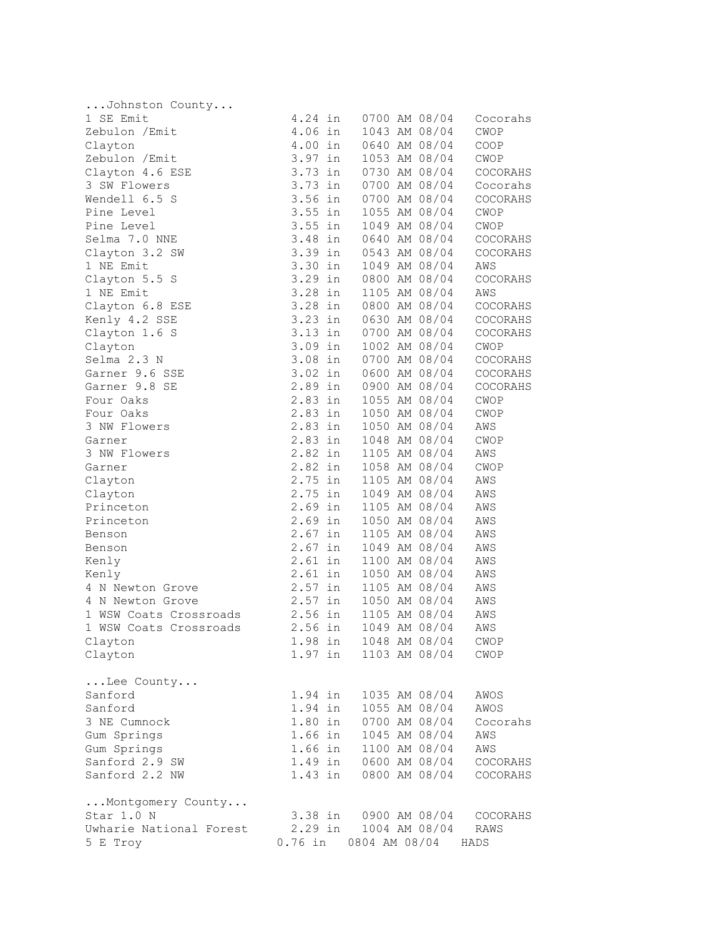| Johnston County         |                    |                       |                                |                     |
|-------------------------|--------------------|-----------------------|--------------------------------|---------------------|
| 1 SE Emit               |                    | 4.24 in 0700 AM 08/04 |                                | Cocorahs            |
| Zebulon / Emit          | $4.06$ in          |                       | 1043 AM 08/04                  | CWOP                |
| Clayton                 | 4.00 in            |                       | 0640 AM 08/04                  | COOP                |
| Zebulon / Emit          | 3.97 in            |                       | 1053 AM 08/04                  | CWOP                |
| Clayton 4.6 ESE         | 3.73 in            |                       | 0730 AM 08/04                  | COCORAHS            |
| 3 SW Flowers            | 3.73 in            |                       | 0700 AM 08/04                  | Cocorahs            |
| Wendell 6.5 S           | 3.56 in            |                       | 0700 AM 08/04                  | COCORAHS            |
| Pine Level              | $3.55$ in          |                       | 1055 AM 08/04                  | CWOP                |
| Pine Level              | $3.55$ in          |                       | 1049 AM 08/04                  | CWOP                |
| Selma 7.0 NNE           | 3.48 in            |                       | 0640 AM 08/04                  | COCORAHS            |
| Clayton 3.2 SW          | 3.39 in            |                       | 0543 AM 08/04                  | COCORAHS            |
| 1 NE Emit               | $3.30$ in          |                       | 1049 AM 08/04                  | AWS                 |
| Clayton 5.5 S           | 3.29 in            |                       | 0800 AM 08/04                  | COCORAHS            |
| 1 NE Emit               | 3.28 in            |                       | 1105 AM 08/04                  | AWS                 |
| Clayton 6.8 ESE         |                    | 3.28 in 0800 AM 08/04 |                                | COCORAHS            |
| Kenly 4.2 SSE           |                    | 3.23 in 0630 AM 08/04 |                                | COCORAHS            |
| Clayton 1.6 S           |                    | 3.13 in 0700 AM 08/04 |                                | COCORAHS            |
| Clayton                 |                    | 3.09 in 1002 AM 08/04 |                                | CWOP                |
| Selma 2.3 N             | $3.08$ in          |                       | 0700 AM 08/04                  | COCORAHS            |
| Garner 9.6 SSE          | $3.02$ in          |                       | 0600 AM 08/04                  | COCORAHS            |
| Garner 9.8 SE           | 2.89 in            |                       | 0900 AM 08/04                  | COCORAHS            |
| Four Oaks               | $2.83$ in          |                       | 1055 AM 08/04                  | CWOP                |
| Four Oaks               | 2.83 in            |                       | 1050 AM 08/04                  | CWOP                |
| 3 NW Flowers            |                    | 2.83 in 1050 AM 08/04 |                                | AWS                 |
| Garner                  |                    | 2.83 in 1048 AM 08/04 |                                | CWOP                |
| 3 NW Flowers            | $2.82$ in          |                       | 1105 AM 08/04                  | AWS                 |
| Garner                  |                    |                       | 1058 AM 08/04                  | CWOP                |
| Clayton                 | 2.82 in<br>2.75 in |                       | 1105 AM 08/04                  | AWS                 |
| Clayton                 | $2.75$ in          |                       | 1049 AM 08/04                  | AWS                 |
| Princeton               | $2.69$ in          |                       | 1105 AM 08/04                  | AWS                 |
| Princeton               | $2.69$ in          |                       | 1050 AM 08/04                  | AWS                 |
| Benson                  | $2.67$ in          |                       | 1105 AM 08/04                  | AWS                 |
| Benson                  | $2.67$ in          |                       | 1049 AM 08/04                  | AWS                 |
| Kenly                   | $2.61$ in          |                       | 1100 AM 08/04                  | AWS                 |
| Kenly                   | $2.61$ in          |                       | 1050 AM 08/04                  | AWS                 |
| 4 N Newton Grove        | 2.57 in            |                       |                                | AWS                 |
| 4 N Newton Grove        | $2.57$ in          |                       | 1105 AM 08/04<br>1050 AM 08/04 | AWS                 |
| 1 WSW Coats Crossroads  |                    | 2.56 in 1105 AM 08/04 |                                | AWS                 |
| 1 WSW Coats Crossroads  | 2.56 in            |                       |                                | 1049 AM 08/04 AWS   |
| Clayton                 |                    | 1.98 in 1048 AM 08/04 |                                | CWOP                |
| Clayton                 |                    | 1.97 in 1103 AM 08/04 |                                | CWOP                |
| Lee County              |                    |                       |                                |                     |
| Sanford                 | 1.94 in            |                       | 1035 AM 08/04                  | AWOS                |
| Sanford                 | 1.94 in            |                       | 1055 AM 08/04                  | AWOS                |
| 3 NE Cumnock            | $1.80$ in          |                       | 0700 AM 08/04                  | Cocorahs            |
| Gum Springs             | $1.66$ in          |                       | 1045 AM 08/04                  | AWS                 |
| Gum Springs             | $1.66$ in          |                       | 1100 AM 08/04                  | AWS                 |
| Sanford 2.9 SW          |                    | 1.49 in 0600 AM 08/04 |                                | $\mathtt{COCORAHS}$ |
| Sanford 2.2 NW          |                    | 1.43 in 0800 AM 08/04 |                                | COCORAHS            |
| Montgomery County       |                    |                       |                                |                     |
| Star 1.0 N              |                    | 3.38 in 0900 AM 08/04 |                                | COCORAHS            |
| Uwharie National Forest | 2.29 in            |                       | 1004 AM 08/04                  | RAWS                |
| 5 E Troy                | $0.76$ in          | 0804 AM 08/04         |                                | HADS                |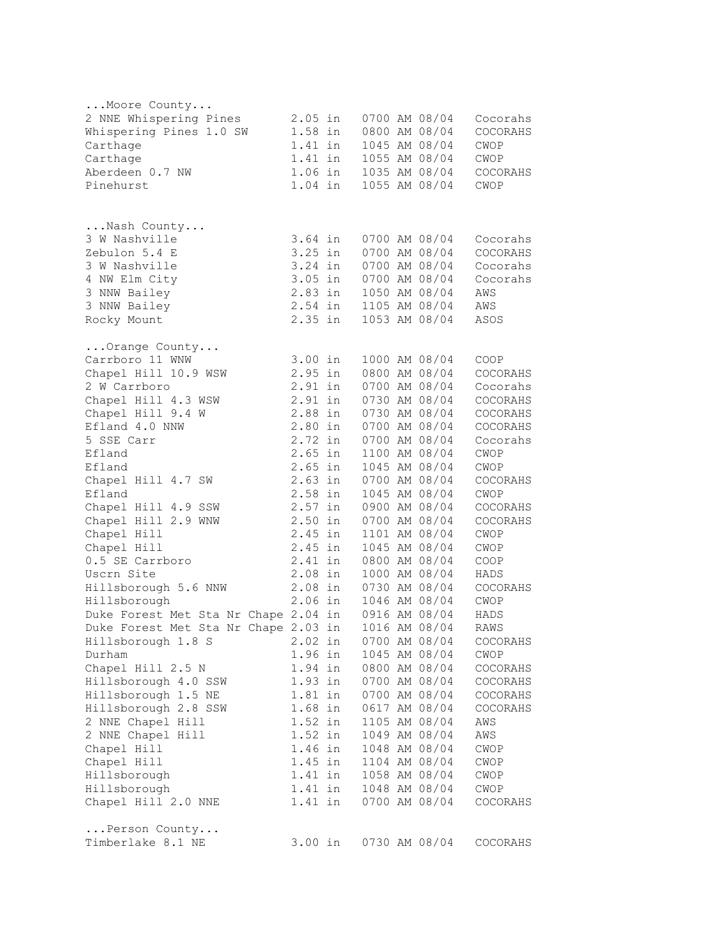| Moore County                         |                      |         |  |                                |                  |
|--------------------------------------|----------------------|---------|--|--------------------------------|------------------|
| 2 NNE Whispering Pines               | $2.05$ in            |         |  | 0700 AM 08/04                  | Cocorahs         |
| Whispering Pines 1.0 SW              | 1.58 in              |         |  | 0800 AM 08/04                  | COCORAHS         |
| Carthage                             | 1.41 in              |         |  | 1045 AM 08/04                  | CWOP             |
| Carthage                             |                      | 1.41 in |  | 1055 AM 08/04                  | CWOP             |
| Aberdeen 0.7 NW                      |                      |         |  | 1.06 in 1035 AM 08/04          | COCORAHS         |
| Pinehurst                            |                      | 1.04 in |  | 1055 AM 08/04                  | CWOP             |
|                                      |                      |         |  |                                |                  |
| Nash County                          |                      |         |  |                                |                  |
| 3 W Nashville                        | $3.64$ in            |         |  | 0700 AM 08/04                  | Cocorahs         |
| Zebulon 5.4 E                        | $3.25$ in            |         |  | 0700 AM 08/04                  | COCORAHS         |
| 3 W Nashville                        | 3.24 in              |         |  | 0700 AM 08/04                  | Cocorahs         |
| 4 NW Elm City                        | $3.05$ in            |         |  | 0700 AM 08/04                  | Cocorahs         |
| 3 NNW Bailey                         | 2.83 in              |         |  | 1050 AM 08/04                  | AWS              |
| 3 NNW Bailey                         | 2.54 in              |         |  | 1105 AM 08/04                  | AWS              |
| Rocky Mount                          | 2.35 in              |         |  | 1053 AM 08/04                  | ASOS             |
| Orange County                        |                      |         |  |                                |                  |
| Carrboro 11 WNW                      | 3.00 in              |         |  | 1000 AM 08/04                  | COOP             |
| Chapel Hill 10.9 WSW                 | $2.95$ in            |         |  | 0800 AM 08/04                  | COCORAHS         |
| 2 W Carrboro                         | 2.91 in              |         |  | 0700 AM 08/04                  | Cocorahs         |
| Chapel Hill 4.3 WSW                  | 2.91 in              |         |  | 0730 AM 08/04                  | COCORAHS         |
| Chapel Hill 9.4 W                    | 2.88 in              |         |  | 0730 AM 08/04                  | COCORAHS         |
| Efland 4.0 NNW                       | 2.80 in              |         |  | 0700 AM 08/04                  | COCORAHS         |
| 5 SSE Carr                           | 2.72 in              |         |  | 0700 AM 08/04                  | Cocorahs         |
| Efland                               | $2.65$ in            |         |  | 1100 AM 08/04                  | CWOP             |
| Efland                               | $2.65$ in            |         |  | 1045 AM 08/04                  | CWOP             |
| Chapel Hill 4.7 SW                   | $2.63$ in            |         |  | 0700 AM 08/04                  | COCORAHS         |
| Efland                               | 2.58 in              |         |  | 1045 AM 08/04                  | CWOP             |
| Chapel Hill 4.9 SSW                  | $2.57$ in            |         |  | 0900 AM 08/04                  | COCORAHS         |
| Chapel Hill 2.9 WNW                  | $2.50$ in            |         |  | 0700 AM 08/04                  | COCORAHS         |
| Chapel Hill                          | 2.45 in              |         |  | 1101 AM 08/04                  | CWOP             |
| Chapel Hill                          | 2.45 in              |         |  | 1045 AM 08/04                  | CWOP             |
| 0.5 SE Carrboro                      | 2.41 in              |         |  | 0800 AM 08/04                  | COOP             |
| Uscrn Site                           | $2.08$ in            |         |  | 1000 AM 08/04                  | HADS             |
| Hillsborough 5.6 NNW                 | $2.08$ in            |         |  | 0730 AM 08/04                  | COCORAHS         |
| Hillsborough                         | $2.06$ in            |         |  | 1046 AM 08/04                  | CWOP             |
| Duke Forest Met Sta Nr Chape 2.04 in |                      |         |  | 0916 AM 08/04                  | HADS             |
| Duke Forest Met Sta Nr Chape 2.03 in |                      |         |  | 1016 AM 08/04                  | RAWS             |
| Hillsborough 1.8 S                   | $2.02$ in            |         |  | 0700 AM 08/04                  | COCORAHS         |
| Durham                               | 1.96 in              |         |  | 1045 AM 08/04                  | CWOP             |
| Chapel Hill 2.5 N                    | 1.94 in              |         |  | 0800 AM 08/04                  | COCORAHS         |
| Hillsborough 4.0 SSW                 | 1.93 in              |         |  | 0700 AM 08/04                  | COCORAHS         |
| Hillsborough 1.5 NE                  | $1.81$ in<br>1.68 in |         |  | 0700 AM 08/04                  | COCORAHS         |
| Hillsborough 2.8 SSW                 |                      |         |  | 0617 AM 08/04                  | COCORAHS         |
| 2 NNE Chapel Hill                    | 1.52 in              |         |  | 1105 AM 08/04                  | AWS              |
| 2 NNE Chapel Hill                    | 1.52 in              |         |  | 1049 AM 08/04                  | AWS              |
| Chapel Hill<br>Chapel Hill           | 1.46 in              |         |  | 1048 AM 08/04                  | CWOP             |
|                                      | $1.45$ in            |         |  | 1104 AM 08/04                  | CWOP             |
| Hillsborough                         | $1.41$ in            |         |  | 1058 AM 08/04                  | CWOP             |
| Hillsborough<br>Chapel Hill 2.0 NNE  | 1.41 in<br>1.41 in   |         |  | 1048 AM 08/04<br>0700 AM 08/04 | CWOP<br>COCORAHS |
|                                      |                      |         |  |                                |                  |
| Person County<br>Timberlake 8.1 NE   |                      | 3.00 in |  | 0730 AM 08/04                  | COCORAHS         |
|                                      |                      |         |  |                                |                  |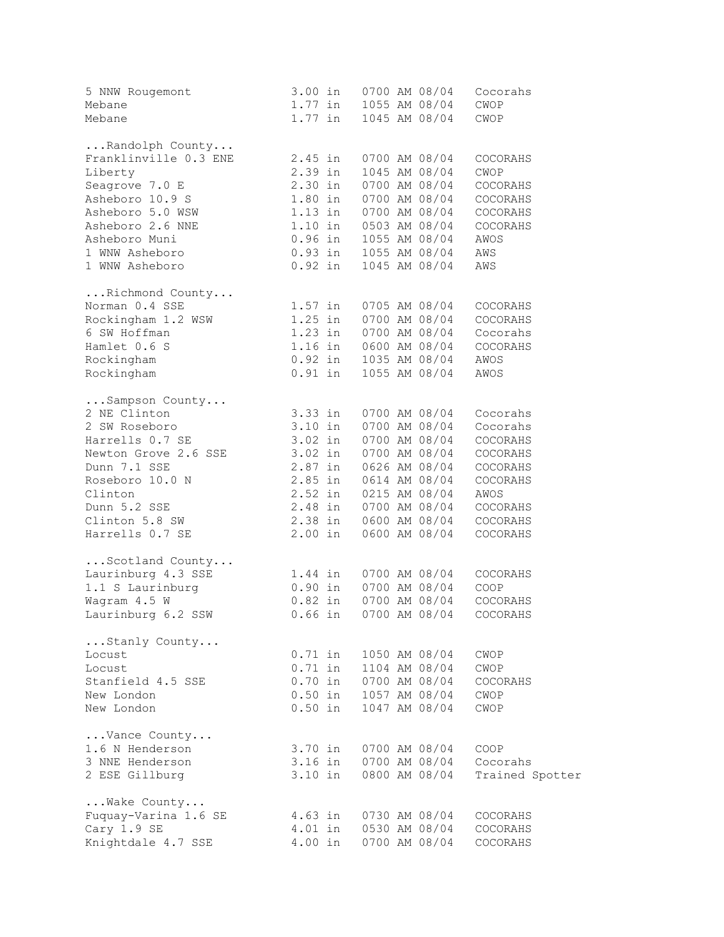| 5 NNW Rougemont<br>Mebane<br>Mebane               |           | 3.00 in 0700 AM 08/04<br>1.77 in 1055 AM 08/04<br>1.77 in 1045 AM 08/04 | Cocorahs<br>CWOP<br>CWOP |
|---------------------------------------------------|-----------|-------------------------------------------------------------------------|--------------------------|
| Randolph County                                   |           |                                                                         |                          |
| Franklinville 0.3 ENE                             | 2.45 in   | 0700 AM 08/04                                                           | COCORAHS                 |
| Liberty                                           | 2.39 in   | 1045 AM 08/04                                                           | CWOP                     |
| Seagrove 7.0 E                                    | $2.30$ in | 0700 AM 08/04                                                           | COCORAHS                 |
| Asheboro 10.9 S                                   |           | 1.80 in 0700 AM 08/04                                                   | COCORAHS                 |
| Asheboro 5.0 WSW                                  |           | 1.13 in 0700 AM 08/04                                                   | COCORAHS                 |
| Asheboro 2.6 NNE                                  |           | 1.10 in 0503 AM 08/04<br>0.96 in 1055 AM 08/04<br>0.93 in 1055 AM 08/04 | COCORAHS                 |
| Asheboro Muni                                     |           |                                                                         | AWOS                     |
| 1 WNW Asheboro                                    |           |                                                                         | AWS                      |
| 1 WNW Asheboro                                    |           | $0.92$ in $1045$ AM $08/04$                                             | AWS                      |
| Richmond County                                   |           |                                                                         |                          |
| Norman 0.4 SSE                                    |           | 1.57 in 0705 AM 08/04                                                   | COCORAHS                 |
| Rockingham 1.2 WSW 1.25 in 0700 AM 08/04          |           |                                                                         | COCORAHS                 |
| 6 SW Hoffman                                      |           | 1.23 in 0700 AM 08/04<br>1.16 in 0600 AM 08/04                          | Cocorahs                 |
| Hamlet 0.6 S                                      |           |                                                                         | COCORAHS                 |
| Rockingham                                        |           |                                                                         | AWOS                     |
| Rockingham                                        |           | 1.16 in 0600 AM 08/04<br>0.92 in 1035 AM 08/04<br>0.91 in 1055 AM 08/04 | AWOS                     |
| Sampson County                                    |           |                                                                         |                          |
| 2 NE Clinton                                      | 3.33 in   | 0700 AM 08/04                                                           | Cocorahs                 |
| 2 SW Roseboro                                     | $3.10$ in | 0700 AM 08/04                                                           | Cocorahs                 |
| Harrells 0.7 SE                                   | 3.02 in   | 0700 AM 08/04                                                           | COCORAHS                 |
| Newton Grove 2.6 SSE 3.02 in                      |           | 0700 AM 08/04                                                           | COCORAHS                 |
| ACCEPT OF THE ROSE<br>Roseboro 10.0 N<br>Clinton  |           | 2.87 in 0626 AM 08/04<br>2.85 in 0614 AM 08/04<br>2.52 in 0215 AM 08/04 | COCORAHS                 |
|                                                   |           |                                                                         | COCORAHS                 |
|                                                   |           |                                                                         | AWOS                     |
| Dunn 5.2 SSE                                      |           | 2.48 in 0700 AM 08/04                                                   | COCORAHS                 |
| Clinton 5.8 SW                                    |           | 2.38 in 0600 AM 08/04 COCORAHS                                          |                          |
| Harrells 0.7 SE 2.00 in                           |           | 0600 AM 08/04                                                           | COCORAHS                 |
| Scotland County                                   |           |                                                                         |                          |
| Laurinburg 4.3 SSE                                |           | 1.44 in 0700 AM 08/04                                                   | COCORAHS                 |
| 1.1 S Laurinburg                                  |           | 0.90 in 0700 AM 08/04<br>0.82 in 0700 AM 08/04                          | COOP                     |
| Wagram 4.5 W                                      |           | 0700 AM 08/04                                                           | COCORAHS                 |
| Laurinburg 6.2 SSW 0.66 in 0700 AM 08/04 COCORAHS |           |                                                                         |                          |
| Stanly County                                     |           |                                                                         |                          |
| Locust                                            | $0.71$ in | 1050 AM 08/04                                                           | CWOP                     |
| Locust                                            | $0.71$ in | 1104 AM 08/04                                                           | CWOP                     |
| Stanfield 4.5 SSE                                 | $0.70$ in | 0700 AM 08/04                                                           | COCORAHS                 |
| New London                                        | $0.50$ in | 1057 AM 08/04                                                           | CWOP                     |
| New London                                        | $0.50$ in | 1047 AM 08/04                                                           | CWOP                     |
| Vance County                                      |           |                                                                         |                          |
| 1.6 N Henderson                                   | 3.70 in   | 0700 AM 08/04                                                           | COOP                     |
| 3 NNE Henderson                                   | 3.16 in   | 0700 AM 08/04                                                           | Cocorahs                 |
| 2 ESE Gillburg                                    | $3.10$ in | 0800 AM 08/04                                                           | Trained Spotter          |
| Wake County                                       |           |                                                                         |                          |
| Fuquay-Varina 1.6 SE                              | $4.63$ in | 0730 AM 08/04                                                           | COCORAHS                 |
| Cary 1.9 SE                                       | $4.01$ in | 0530 AM 08/04                                                           | <b>COCORAHS</b>          |
| Knightdale 4.7 SSE                                | 4.00 in   | 0700 AM 08/04                                                           | COCORAHS                 |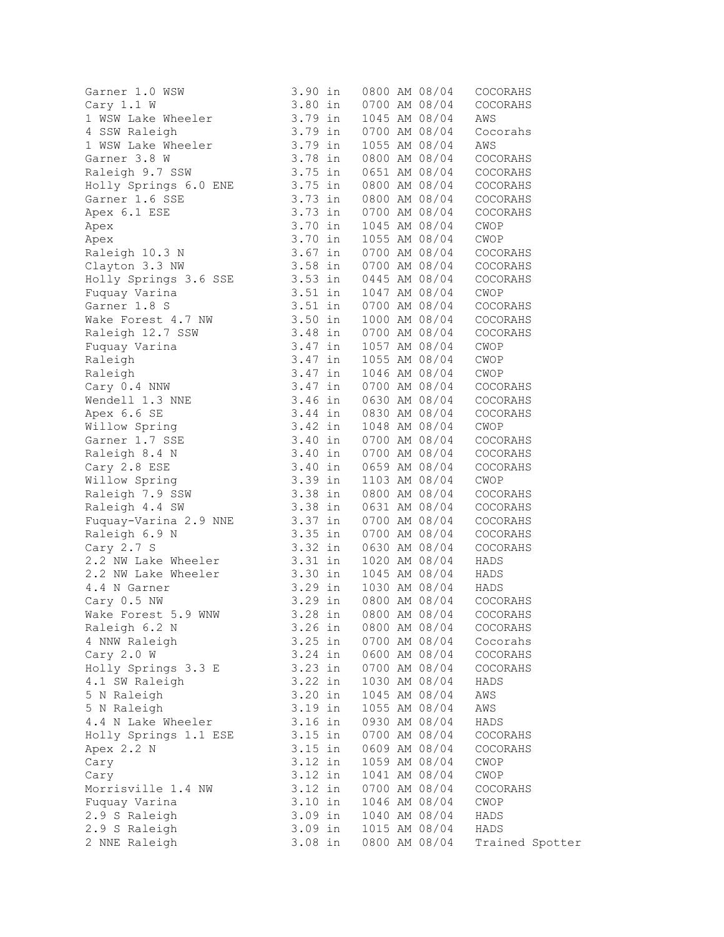| Garner 1.0 WSW                                                                                                                                                                                                    | $3.90$ in                     |               | 0800 AM 08/04 | COCORAHS                                                           |
|-------------------------------------------------------------------------------------------------------------------------------------------------------------------------------------------------------------------|-------------------------------|---------------|---------------|--------------------------------------------------------------------|
| Cary 1.1 W                                                                                                                                                                                                        | 3.80 in<br>3.79 in<br>3.79 in |               | 0700 AM 08/04 | COCORAHS                                                           |
|                                                                                                                                                                                                                   |                               |               | 1045 AM 08/04 | AWS                                                                |
| 1 WSW Lake Wheeler<br>4 SSW Raleigh                                                                                                                                                                               |                               |               | 0700 AM 08/04 | Cocorahs                                                           |
| 1 USW Lake Wheeler<br>1 WSW Lake Wheeler<br>3.79 in<br>Raleigh 9.7 SSW 3.75 in                                                                                                                                    |                               |               | 1055 AM 08/04 | AWS                                                                |
|                                                                                                                                                                                                                   |                               |               | 0800 AM 08/04 | COCORAHS                                                           |
|                                                                                                                                                                                                                   |                               |               | 0651 AM 08/04 | COCORAHS                                                           |
| Holly Springs 6.0 ENE 3.75 in                                                                                                                                                                                     |                               |               | 0800 AM 08/04 | COCORAHS                                                           |
|                                                                                                                                                                                                                   |                               |               | 0800 AM 08/04 | COCORAHS                                                           |
|                                                                                                                                                                                                                   |                               |               | 0700 AM 08/04 | COCORAHS                                                           |
| Garner 1.6 SSE 3.73 in<br>Apex 6.1 ESE 3.73 in<br>Apex 3.70 in<br>Apex 3.70 in                                                                                                                                    |                               |               | 1045 AM 08/04 | CWOP                                                               |
| Apex                                                                                                                                                                                                              | 3.70 in<br>3.70 in<br>3.67 in |               | 1055 AM 08/04 | CWOP                                                               |
|                                                                                                                                                                                                                   |                               |               |               | COCORAHS                                                           |
| Apex<br>Raleigh 10.3 N<br>Clauton 3.3 NW 3.58 in 0700 AM 08/04<br>Clauton 3.3 NW 3.58 in 0700 AM 08/04                                                                                                            |                               |               |               | COCORAHS                                                           |
| Holly Springs 3.6 SSE 3.53 in 0445 AM 08/04                                                                                                                                                                       |                               |               |               | COCORAHS                                                           |
| Fuquay Varina                                                                                                                                                                                                     |                               |               | 1047 AM 08/04 | CWOP                                                               |
| Garner 1.8 S                                                                                                                                                                                                      | 3.51 in<br>3.51 in            |               | 0700 AM 08/04 | COCORAHS                                                           |
| Wake Forest 4.7 NW 3.50 in                                                                                                                                                                                        |                               |               | 1000 AM 08/04 | COCORAHS                                                           |
|                                                                                                                                                                                                                   |                               |               | 0700 AM 08/04 | COCORAHS                                                           |
|                                                                                                                                                                                                                   |                               |               | 1057 AM 08/04 | CWOP                                                               |
| Raleigh 12.7 SSW 3.48 in<br>Fuquay Varina 3.47 in<br>Raleigh 3.47 in<br>Raleigh 3.47 in<br>Cary 0.4 NNW 3.47 in                                                                                                   |                               |               | 1055 AM 08/04 | CWOP                                                               |
|                                                                                                                                                                                                                   |                               |               | 1046 AM 08/04 | CWOP                                                               |
|                                                                                                                                                                                                                   |                               |               |               | 0700 AM 08/04 COCORAHS                                             |
| Wendell 1.3 NNE 3.46 in                                                                                                                                                                                           |                               |               |               | 0630 AM 08/04 COCORAHS                                             |
| Apex 6.6 SE 3.44 in<br>Willow Spring 3.42 in<br>Garner 1.7 SSE 3.40 in                                                                                                                                            |                               |               | 0830 AM 08/04 | COCORAHS                                                           |
|                                                                                                                                                                                                                   |                               |               | 1048 AM 08/04 | $\mathop{\mathrm{CWDP}}$                                           |
|                                                                                                                                                                                                                   |                               |               |               | 0700 AM 08/04 COCORAHS                                             |
| Raleigh 8.4 N<br>Cary 2.8 ESE 3.40 in 0700 AM 08/04<br>Cary 2.8 ESE 3.40 in 0659 AM 08/04<br>Willow Spring 3.39 in 1103 AM 08/04<br>Raleigh 7.9 SSW 3.38 in 0800 AM 08/04<br>Raleigh 4.4 SW 3.38 in 0631 AM 08/04 |                               | 0700 AM 08/04 |               | COCORAHS                                                           |
|                                                                                                                                                                                                                   |                               |               |               | COCORAHS                                                           |
|                                                                                                                                                                                                                   |                               |               |               | CWOP                                                               |
|                                                                                                                                                                                                                   |                               |               | 0800 AM 08/04 | COCORAHS                                                           |
|                                                                                                                                                                                                                   |                               |               | 0631 AM 08/04 | COCORAHS                                                           |
| Fuquay-Varina 2.9 NNE 3.37 in<br>Raleigh 6.9 N 3.35 in                                                                                                                                                            |                               |               | 0700 AM 08/04 | COCORAHS                                                           |
|                                                                                                                                                                                                                   |                               |               | 0700 AM 08/04 | COCORAHS                                                           |
| Cary 2.7 S                                                                                                                                                                                                        | $3.32$ in                     |               | 0630 AM 08/04 | COCORAHS                                                           |
| 2.2 <sup>NW</sup> Lake Wheeler 3.31 in                                                                                                                                                                            |                               |               | 1020 AM 08/04 | HADS                                                               |
| 2.2 NW Lake Wheeler                                                                                                                                                                                               | $3.30$ in                     |               |               | 1045 AM 08/04 HADS<br>1030 AM 08/04 HADS<br>0800 AM 08/04 COCORAHS |
| 4.4 N Garner                                                                                                                                                                                                      | 3.29 in<br>3.29 in            |               |               |                                                                    |
| Cary 0.5 NW                                                                                                                                                                                                       |                               |               |               |                                                                    |
| Wake Forest 5.9 WNW 3.28 in 0800 AM 08/04 COCORAHS                                                                                                                                                                |                               |               |               |                                                                    |
| Raleigh 6.2 N                                                                                                                                                                                                     | $3.26$ in                     |               | 0800 AM 08/04 | COCORAHS                                                           |
| 4 NNW Raleigh                                                                                                                                                                                                     | $3.25$ in                     |               | 0700 AM 08/04 | Cocorahs                                                           |
| Cary 2.0 W                                                                                                                                                                                                        | 3.24 in                       |               | 0600 AM 08/04 | COCORAHS                                                           |
| Holly Springs 3.3 E                                                                                                                                                                                               | 3.23 in                       |               | 0700 AM 08/04 | COCORAHS                                                           |
| 4.1 SW Raleigh                                                                                                                                                                                                    | 3.22 in                       |               | 1030 AM 08/04 | HADS                                                               |
| 5 N Raleigh                                                                                                                                                                                                       | $3.20$ in                     |               | 1045 AM 08/04 | AWS                                                                |
| 5 N Raleigh                                                                                                                                                                                                       | 3.19 in                       |               | 1055 AM 08/04 | AWS                                                                |
| 4.4 N Lake Wheeler                                                                                                                                                                                                | $3.16$ in                     |               | 0930 AM 08/04 | HADS                                                               |
| Holly Springs 1.1 ESE                                                                                                                                                                                             | $3.15$ in                     |               | 0700 AM 08/04 | COCORAHS                                                           |
| Apex 2.2 N                                                                                                                                                                                                        | $3.15$ in                     |               | 0609 AM 08/04 | COCORAHS                                                           |
| Cary                                                                                                                                                                                                              | $3.12$ in                     |               | 1059 AM 08/04 | CWOP                                                               |
| Cary                                                                                                                                                                                                              | $3.12$ in                     |               | 1041 AM 08/04 | CWOP                                                               |
| Morrisville 1.4 NW                                                                                                                                                                                                | $3.12$ in                     |               | 0700 AM 08/04 | COCORAHS                                                           |
| Fuquay Varina                                                                                                                                                                                                     | $3.10$ in                     |               | 1046 AM 08/04 | CWOP                                                               |
| 2.9 S Raleigh                                                                                                                                                                                                     | 3.09 in                       |               | 1040 AM 08/04 | HADS                                                               |
| 2.9 S Raleigh                                                                                                                                                                                                     | $3.09$ in                     |               | 1015 AM 08/04 | HADS                                                               |
| 2 NNE Raleigh                                                                                                                                                                                                     | 3.08 in                       |               | 0800 AM 08/04 | Trained Spotter                                                    |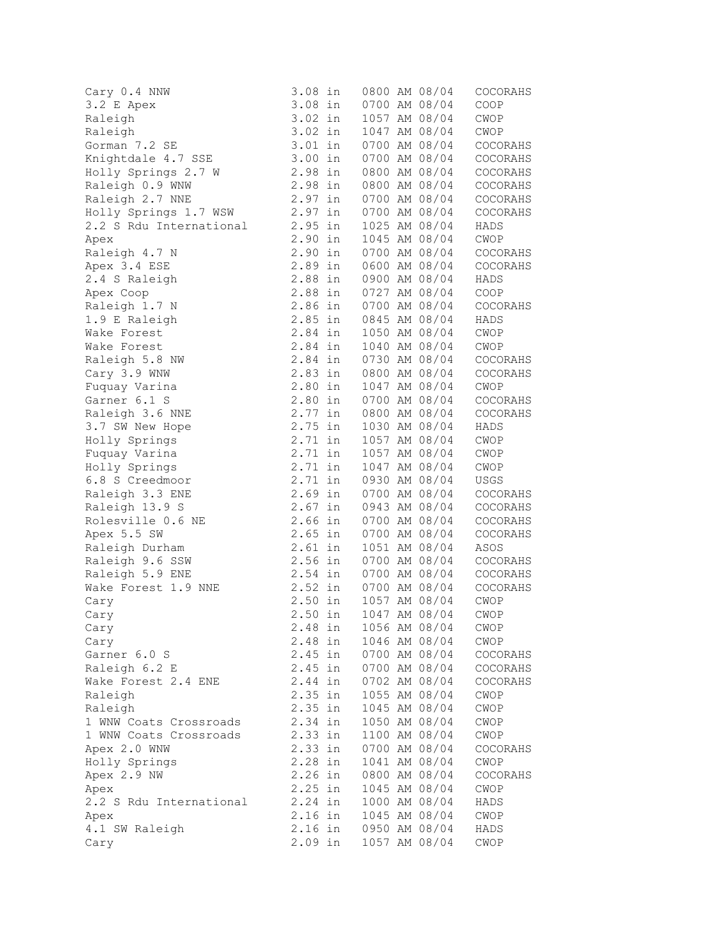| Cary 0.4 NNW            | 3.08 in   | 0800 AM 08/04 | COCORAHS            |
|-------------------------|-----------|---------------|---------------------|
| 3.2 E Apex              | 3.08 in   | 0700 AM 08/04 | COOP                |
| Raleigh                 | 3.02 in   | 1057 AM 08/04 | CWOP                |
| Raleigh                 | $3.02$ in | 1047 AM 08/04 | CWOP                |
| Gorman 7.2 SE           | $3.01$ in | 0700 AM 08/04 | COCORAHS            |
|                         | 3.00 in   |               |                     |
| Knightdale 4.7 SSE      |           | 0700 AM 08/04 | COCORAHS            |
| Holly Springs 2.7 W     | 2.98 in   | 0800 AM 08/04 | COCORAHS            |
| Raleigh 0.9 WNW         | 2.98 in   | 0800 AM 08/04 | COCORAHS            |
| Raleigh 2.7 NNE         | 2.97 in   | 0700 AM 08/04 | COCORAHS            |
| Holly Springs 1.7 WSW   | 2.97 in   | 0700 AM 08/04 | COCORAHS            |
| 2.2 S Rdu International | 2.95 in   | 1025 AM 08/04 | HADS                |
| Apex                    | $2.90$ in | 1045 AM 08/04 | CWOP                |
| Raleigh 4.7 N           | $2.90$ in | 0700 AM 08/04 | COCORAHS            |
| Apex 3.4 ESE            | 2.89 in   | 0600 AM 08/04 | COCORAHS            |
| 2.4 S Raleigh           | 2.88 in   | 0900 AM 08/04 | HADS                |
| Apex Coop               | 2.88 in   | 0727 AM 08/04 | COOP                |
| Raleigh 1.7 N           | 2.86 in   | 0700 AM 08/04 | COCORAHS            |
| 1.9 E Raleigh           | 2.85 in   | 0845 AM 08/04 | HADS                |
| Wake Forest             | 2.84 in   | 1050 AM 08/04 | CWOP                |
| Wake Forest             | 2.84 in   | 1040 AM 08/04 | CWOP                |
| Raleigh 5.8 NW          | 2.84 in   | 0730 AM 08/04 | COCORAHS            |
| Cary 3.9 WNW            | $2.83$ in | 0800 AM 08/04 | COCORAHS            |
|                         | $2.80$ in |               |                     |
| Fuquay Varina           |           | 1047 AM 08/04 | CWOP                |
| Garner 6.1 S            | 2.80 in   | 0700 AM 08/04 | COCORAHS            |
| Raleigh 3.6 NNE         | $2.77$ in | 0800 AM 08/04 | COCORAHS            |
| 3.7 SW New Hope         | 2.75 in   | 1030 AM 08/04 | HADS                |
| Holly Springs           | 2.71 in   | 1057 AM 08/04 | CWOP                |
| Fuquay Varina           | 2.71 in   | 1057 AM 08/04 | CWOP                |
| Holly Springs           | 2.71 in   | 1047 AM 08/04 | CWOP                |
| 6.8 S Creedmoor         | 2.71 in   | 0930 AM 08/04 | USGS                |
| Raleigh 3.3 ENE         | $2.69$ in | 0700 AM 08/04 | COCORAHS            |
| Raleigh 13.9 S          | $2.67$ in | 0943 AM 08/04 | COCORAHS            |
| Rolesville 0.6 NE       | 2.66 in   | 0700 AM 08/04 | $\mathtt{COCORAHS}$ |
| Apex 5.5 SW             | $2.65$ in | 0700 AM 08/04 | COCORAHS            |
| Raleigh Durham          | $2.61$ in | 1051 AM 08/04 | ASOS                |
| Raleigh 9.6 SSW         | 2.56 in   | 0700 AM 08/04 | COCORAHS            |
| Raleigh 5.9 ENE         | 2.54 in   | 0700 AM 08/04 | COCORAHS            |
| Wake Forest 1.9 NNE     | 2.52 in   | 0700 AM 08/04 | COCORAHS            |
| Cary                    | $2.50$ in | 1057 AM 08/04 | CWOP                |
| Cary                    | 2.50 in   | 1047 AM 08/04 | CWOP                |
| Cary                    | 2.48 in   | 1056 AM 08/04 | CWOP                |
| Cary                    | 2.48 in   | 1046 AM 08/04 | CWOP                |
|                         |           |               |                     |
| Garner 6.0 S            | 2.45 in   | 0700 AM 08/04 | COCORAHS            |
| Raleigh 6.2 E           | $2.45$ in | 0700 AM 08/04 | COCORAHS            |
| Wake Forest 2.4 ENE     | 2.44 in   | 0702 AM 08/04 | COCORAHS            |
| Raleigh                 | $2.35$ in | 1055 AM 08/04 | CWOP                |
| Raleigh                 | $2.35$ in | 1045 AM 08/04 | CWOP                |
| 1 WNW Coats Crossroads  | 2.34 in   | 1050 AM 08/04 | CWOP                |
| 1 WNW Coats Crossroads  | 2.33 in   | 1100 AM 08/04 | CWOP                |
| Apex 2.0 WNW            | 2.33 in   | 0700 AM 08/04 | COCORAHS            |
| Holly Springs           | 2.28 in   | 1041 AM 08/04 | CWOP                |
| Apex 2.9 NW             | $2.26$ in | 0800 AM 08/04 | COCORAHS            |
| Apex                    | $2.25$ in | 1045 AM 08/04 | CWOP                |
| 2.2 S Rdu International | 2.24 in   | 1000 AM 08/04 | HADS                |
| Apex                    | $2.16$ in | 1045 AM 08/04 | CWOP                |
| 4.1 SW Raleigh          | 2.16 in   | 0950 AM 08/04 | HADS                |
| Cary                    | 2.09 in   | 1057 AM 08/04 | CWOP                |
|                         |           |               |                     |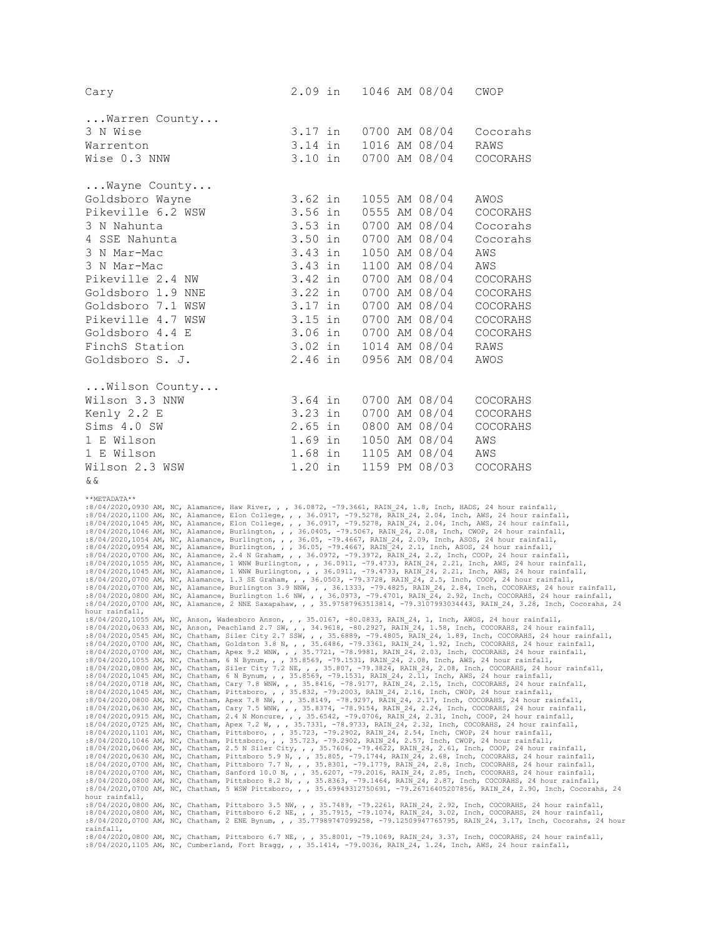| Cary                                                                                                                                                                                                                                                                                                                                                                                                                                                                                | 2.09 in   | 1046 AM 08/04 | CWOP        |
|-------------------------------------------------------------------------------------------------------------------------------------------------------------------------------------------------------------------------------------------------------------------------------------------------------------------------------------------------------------------------------------------------------------------------------------------------------------------------------------|-----------|---------------|-------------|
| Warren County                                                                                                                                                                                                                                                                                                                                                                                                                                                                       |           |               |             |
| 3 N Wise                                                                                                                                                                                                                                                                                                                                                                                                                                                                            | 3.17 in   | 0700 AM 08/04 | Cocorahs    |
| Warrenton                                                                                                                                                                                                                                                                                                                                                                                                                                                                           | 3.14 in   | 1016 AM 08/04 | RAWS        |
| Wise 0.3 NNW                                                                                                                                                                                                                                                                                                                                                                                                                                                                        | $3.10$ in | 0700 AM 08/04 | COCORAHS    |
| Wayne County                                                                                                                                                                                                                                                                                                                                                                                                                                                                        |           |               |             |
| Goldsboro Wayne                                                                                                                                                                                                                                                                                                                                                                                                                                                                     | 3.62 in   | 1055 AM 08/04 | AWOS        |
| Pikeville 6.2 WSW                                                                                                                                                                                                                                                                                                                                                                                                                                                                   | 3.56 in   | 0555 AM 08/04 | COCORAHS    |
| 3 N Nahunta                                                                                                                                                                                                                                                                                                                                                                                                                                                                         | $3.53$ in | 0700 AM 08/04 | Cocorahs    |
| 4 SSE Nahunta                                                                                                                                                                                                                                                                                                                                                                                                                                                                       | $3.50$ in |               |             |
|                                                                                                                                                                                                                                                                                                                                                                                                                                                                                     |           | 0700 AM 08/04 | Cocorahs    |
| 3 N Mar-Mac                                                                                                                                                                                                                                                                                                                                                                                                                                                                         | 3.43 in   | 1050 AM 08/04 | AWS         |
| 3 N Mar-Mac                                                                                                                                                                                                                                                                                                                                                                                                                                                                         | 3.43 in   | 1100 AM 08/04 | AWS         |
| Pikeville 2.4 NW                                                                                                                                                                                                                                                                                                                                                                                                                                                                    | 3.42 in   | 0700 AM 08/04 | COCORAHS    |
| Goldsboro 1.9 NNE                                                                                                                                                                                                                                                                                                                                                                                                                                                                   | 3.22 in   | 0700 AM 08/04 | COCORAHS    |
| Goldsboro 7.1 WSW                                                                                                                                                                                                                                                                                                                                                                                                                                                                   | 3.17 in   | 0700 AM 08/04 | COCORAHS    |
| Pikeville 4.7 WSW                                                                                                                                                                                                                                                                                                                                                                                                                                                                   | 3.15 in   | 0700 AM 08/04 | COCORAHS    |
| Goldsboro 4.4 E                                                                                                                                                                                                                                                                                                                                                                                                                                                                     | 3.06 in   | 0700 AM 08/04 | COCORAHS    |
| FinchS Station                                                                                                                                                                                                                                                                                                                                                                                                                                                                      | 3.02 in   | 1014 AM 08/04 | <b>RAWS</b> |
| Goldsboro S. J.                                                                                                                                                                                                                                                                                                                                                                                                                                                                     | 2.46 in   | 0956 AM 08/04 | AWOS        |
| Wilson County                                                                                                                                                                                                                                                                                                                                                                                                                                                                       |           |               |             |
| Wilson 3.3 NNW                                                                                                                                                                                                                                                                                                                                                                                                                                                                      | 3.64 in   | 0700 AM 08/04 | COCORAHS    |
| Kenly 2.2 E                                                                                                                                                                                                                                                                                                                                                                                                                                                                         | 3.23 in   | 0700 AM 08/04 | COCORAHS    |
| Sims 4.0 SW                                                                                                                                                                                                                                                                                                                                                                                                                                                                         | $2.65$ in | 0800 AM 08/04 | COCORAHS    |
| 1 E Wilson                                                                                                                                                                                                                                                                                                                                                                                                                                                                          | $1.69$ in | 1050 AM 08/04 | AWS         |
| 1 E Wilson                                                                                                                                                                                                                                                                                                                                                                                                                                                                          | $1.68$ in | 1105 AM 08/04 | AWS         |
| Wilson 2.3 WSW                                                                                                                                                                                                                                                                                                                                                                                                                                                                      | 1.20 in   | 1159 PM 08/03 | COCORAHS    |
| & &                                                                                                                                                                                                                                                                                                                                                                                                                                                                                 |           |               |             |
| **METADATA**                                                                                                                                                                                                                                                                                                                                                                                                                                                                        |           |               |             |
| :8/04/2020,0930 AM, NC, Alamance, Haw River, , , 36.0872, -79.3661, RAIN 24, 1.8, Inch, HADS, 24 hour rainfall,<br>:8/04/2020,1100 AM, NC, Alamance, Elon College, , , 36.0917, -79.5278, RAIN_24, 2.04, Inch, AWS, 24 hour rainfall,<br>:8/04/2020,1045 AM, NC, Alamance, Elon College, , , 36.0917, -79.5278, RAIN_24, 2.04, Inch, AWS, 24 hour rainfall,<br>:8/04/2020,1046 AM, NC, Alamance, Burlington, , , 36.0405, -79.5067, RAIN $24$ , 2.08, Inch, CWOP, 24 hour rainfall, |           |               |             |
| :8/04/2020,1054 AM, NC, Alamance, Burlington, , , 36.05, -79.4667, RAIN_24, 2.09, Inch, ASOS, 24 hour rainfall,<br>:8/04/2020,0954 AM, NC, Alamance, Burlington, , , 36.05, -79.4667, RAIN 24, 2.1, Inch, ASOS, 24 hour rainfall,                                                                                                                                                                                                                                                   |           |               |             |
| :8/04/2020,0700 AM, NC, Alamance, 2.4 N Graham, , , 36.0972, -79.3972, RAIN 24, 2.2, Inch, COOP, 24 hour rainfall,                                                                                                                                                                                                                                                                                                                                                                  |           |               |             |
| :8/04/2020,1055 AM, NC, Alamance, 1 WNW Burlington, , , 36.0911, -79.4733, RAIN_24, 2.21, Inch, AWS, 24 hour rainfall,<br>:8/04/2020,1045 AM, NC, Alamance, 1 WNW Burlington, , , 36.0911, -79.4733, RAIN_24, 2.21, Inch, AWS, 24 hour rainfall,                                                                                                                                                                                                                                    |           |               |             |
| :8/04/2020,0700 AM, NC, Alamance, 1.3 SE Graham, , , 36.0503, -79.3728, RAIN 24, 2.5, Inch, COOP, 24 hour rainfall,                                                                                                                                                                                                                                                                                                                                                                 |           |               |             |
| :8/04/2020,0700 AM, NC, Alamance, Burlington 3.9 NNW, , , 36.1333, -79.4825, RAIN_24, 2.84, Inch, COCORAHS, 24 hour rainfall,<br>:8/04/2020,0800 AM, NC, Alamance, Burlington 1.6 NW, , , 36.0973, -79.4701, RAIN_24, 2.92, Inch, COCORAHS, 24 hour rainfall,                                                                                                                                                                                                                       |           |               |             |
| :8/04/2020,0700 AM, NC, Alamance, 2 NNE Saxapahaw, , , 35.97587963513814, -79.3107993034443, RAIN 24, 3.28, Inch, Cocorahs, 24<br>hour rainfall,                                                                                                                                                                                                                                                                                                                                    |           |               |             |
| :8/04/2020,1055 AM, NC, Anson, Wadesboro Anson, , , 35.0167, -80.0833, RAIN_24, 1, Inch, AWOS, 24 hour rainfall,                                                                                                                                                                                                                                                                                                                                                                    |           |               |             |
| :8/04/2020,0633 AM, NC, Anson, Peachland 2.7 SW, , , 34.9618, -80.2927, RAIN 24, 1.58, Inch, COCORAHS, 24 hour rainfall,<br>:8/04/2020,0545 AM, NC, Chatham, Siler City 2.7 SSW, , , 35.6889, -79.4805, RAIN 24, 1.89, Inch, COCORAHS, 24 hour rainfall,                                                                                                                                                                                                                            |           |               |             |
| :8/04/2020,0700 AM, NC, Chatham, Goldston 3.8 N, , , 35.6486, -79.3361, RAIN_24, 1.92, Inch, COCORAHS, 24 hour rainfall,                                                                                                                                                                                                                                                                                                                                                            |           |               |             |
| :8/04/2020,0700 AM, NC, Chatham, Apex 9.2 WNW, , , 35.7721, -78.9981, RAIN 24, 2.03, Inch, COCORAHS, 24 hour rainfall,<br>:8/04/2020,1055 AM, NC, Chatham, 6 N Bynum, , , 35.8569, -79.1531, RAIN 24, 2.08, Inch, AWS, 24 hour rainfall,                                                                                                                                                                                                                                            |           |               |             |
| :8/04/2020,0800 AM, NC, Chatham, Siler City 7.2 NE, , , 35.807, -79.3824, RAIN 24, 2.08, Inch, COCORAHS, 24 hour rainfall,                                                                                                                                                                                                                                                                                                                                                          |           |               |             |
| :8/04/2020,1045 AM, NC, Chatham, 6 N Bynum, , , 35.8569, -79.1531, RAIN 24, 2.11, Inch, AWS, 24 hour rainfall,<br>:8/04/2020,0718 AM, NC, Chatham, Cary 7.8 WNW, , , 35.8416, -78.9177, RAIN_24, 2.15, Inch, COCORAHS, 24 hour rainfall,                                                                                                                                                                                                                                            |           |               |             |
| :8/04/2020,1045 AM, NC, Chatham, Pittsboro, , , 35.832, -79.2003, RAIN 24, 2.16, Inch, CWOP, 24 hour rainfall,                                                                                                                                                                                                                                                                                                                                                                      |           |               |             |
| :8/04/2020,0800 AM, NC, Chatham, Apex 7.8 NW, , , 35.8149, -78.9297, RAIN 24, 2.17, Inch, COCORAHS, 24 hour rainfall,<br>:8/04/2020,0630 AM, NC, Chatham, Cary 7.5 WNW, , , 35.8374, -78.9154, RAIN 24, 2.24, Inch, COCORAHS, 24 hour rainfall,                                                                                                                                                                                                                                     |           |               |             |
| :8/04/2020,0915 AM, NC, Chatham, 2.4 N Moncure, , , 35.6542, -79.0706, RAIN 24, 2.31, Inch, COOP, 24 hour rainfall,<br>:8/04/2020,0725 AM, NC, Chatham, Apex 7.2 W, , , 35.7331, -78.9733, RAIN 24, 2.32, Inch, COCORAHS, 24 hour rainfall,                                                                                                                                                                                                                                         |           |               |             |
| :8/04/2020,1101 AM, NC, Chatham, Pittsboro, , , 35.723, -79.2902, RAIN 24, 2.54, Inch, CWOP, 24 hour rainfall,                                                                                                                                                                                                                                                                                                                                                                      |           |               |             |
| :8/04/2020,1046 AM, NC, Chatham, Pittsboro, , , 35.723, -79.2902, RAIN_24, 2.57, Inch, CWOP, 24 hour rainfall,<br>:8/04/2020,0600 AM, NC, Chatham, 2.5 N Siler City, , , 35.7606, -79.4622, RAIN 24, 2.61, Inch, COOP, 24 hour rainfall,                                                                                                                                                                                                                                            |           |               |             |
| :8/04/2020,0630 AM, NC, Chatham, Pittsboro 5.9 N, , , 35.805, -79.1744, RAIN 24, 2.68, Inch, COCORAHS, 24 hour rainfall,                                                                                                                                                                                                                                                                                                                                                            |           |               |             |
| :8/04/2020,0700 AM, NC, Chatham, Pittsboro 7.7 N, , , 35.8301, -79.1779, RAIN_24, 2.8, Inch, COCORAHS, 24 hour rainfall,<br>:8/04/2020,0700 AM, NC, Chatham, Sanford 10.0 N, , , 35.6207, -79.2016, RAIN_24, 2.85, Inch, COCORAHS, 24 hour rainfall,                                                                                                                                                                                                                                |           |               |             |
| :8/04/2020,0800 AM, NC, Chatham, Pittsboro 8.2 N, , , 35.8363, -79.1464, RAIN 24, 2.87, Inch, COCORAHS, 24 hour rainfall,                                                                                                                                                                                                                                                                                                                                                           |           |               |             |
| :8/04/2020,0700 AM, NC, Chatham, 5 WSW Pittsboro, , , 35.69949312750691, -79.26716405207856, RAIN 24, 2.90, Inch, Cocorahs, 24<br>hour rainfall,                                                                                                                                                                                                                                                                                                                                    |           |               |             |
| :8/04/2020,0800 AM, NC, Chatham, Pittsboro 3.5 NW, , , 35.7489, -79.2261, RAIN 24, 2.92, Inch, COCORAHS, 24 hour rainfall,                                                                                                                                                                                                                                                                                                                                                          |           |               |             |
| :8/04/2020,0800 AM, NC, Chatham, Pittsboro 6.2 NE, , , 35.7915, -79.1074, RAIN 24, 3.02, Inch, COCORAHS, 24 hour rainfall,<br>:8/04/2020,0700 AM, NC, Chatham, 2 ENE Bynum, , , 35.77989747099258, -79.12509947765795, RAIN 24, 3.17, Inch, Cocorahs, 24 hour                                                                                                                                                                                                                       |           |               |             |
| rainfall,<br>:8/04/2020,0800 AM, NC, Chatham, Pittsboro 6.7 NE, , , 35.8001, -79.1069, RAIN 24, 3.37, Inch, COCORAHS, 24 hour rainfall,                                                                                                                                                                                                                                                                                                                                             |           |               |             |
| :8/04/2020,1105 AM, NC, Cumberland, Fort Bragg, , , 35.1414, -79.0036, RAIN 24, 1.24, Inch, AWS, 24 hour rainfall,                                                                                                                                                                                                                                                                                                                                                                  |           |               |             |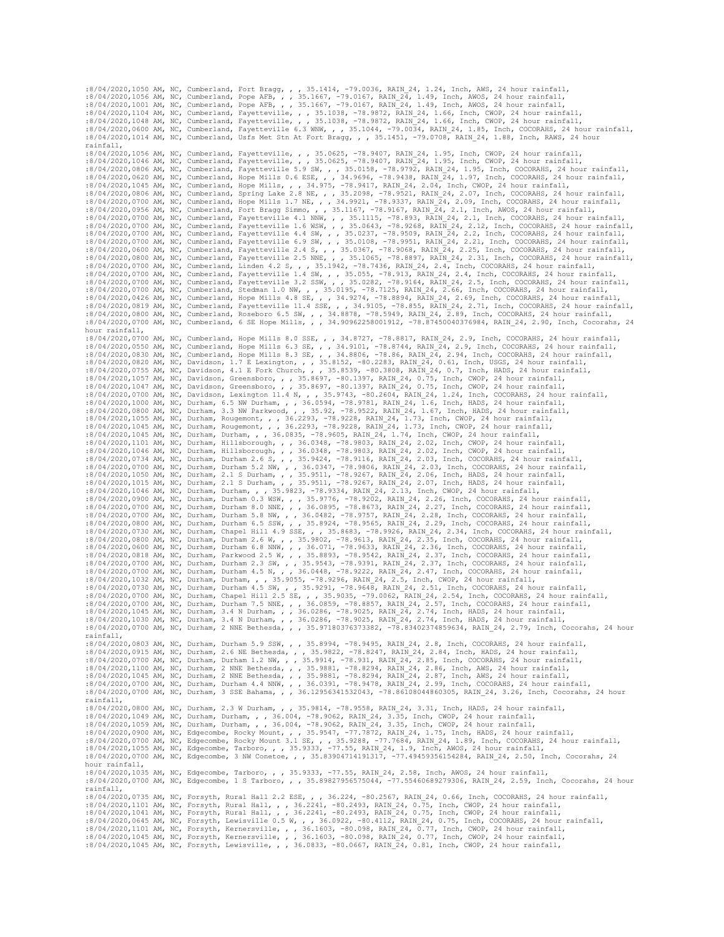:8/04/2020,1050 AM, NC, Cumberland, Fort Bragg, , , 35.1414, -79.0036, RAIN 24, 1.24, Inch, AWS, 24 hour rainfall,<br>:8/04/2020,1056 AM, NC, Cumberland, Pope AFB, , , 35.1667, -79.0167, RAIN 24, 1.49, Inch, AWOS, 24 hour rai :8/04/2020,1104 AM, NC, Cumberland, Fayetteville, , , 35.1038, -78.9872, RAIN\_24, 1.66, Inch, CWOP, 24 hour rainfall,<br>:8/04/2020,1048 AM, NC, Cumberland, Fayetteville, , , 35.1038, -78.9872, RAIN\_24, 1.66, Inch, CWOP, 24 h :8/04/2020,1014 AM, NC, Cumberland, Usfs Met Stn At Fort Bragg, , , 35.1451, -79.0708, RAIN\_24, 1.88, Inch, RAWS, 24 hour rainfall, 18/04/2020,1056 AM, NC, Cumberland, Fayetteville, , , 35.0625, -78.9407, RAIN 24, 1.95, Inch, CWOP, 24 hour rainfall,<br>18/04/2020,1046 AM, NC, Cumberland, Fayetteville, , , 35.0625, -78.9407, RAIN 24, 1.95, Inch, CWOP, 24 h :8/04/2020,0620 AM, NC, Cumberland, Hope Mills 0.6 ESE, , , 34.9696, -78.9438, RAIN\_24, 1.97, Inch, COCORAHS, 24 hour rainfall, :8/04/2020,1045 AM, NC, Cumberland, Hope Mills, , , 34.975, -78.9417, RAIN\_24, 2.04, Inch, CWO :8/04/2020,0700 AM, NC, Cumberland, Fayetteville 4.1 NNW, , , 35.1115, -78.893, RAIN 24, 2.1, Inch, COCORAHS, 24 hour rainfall,<br>:8/04/2020,0700 AM, NC, Cumberland, Fayetteville 1.6 WSW, , , 35.0643, -78.9268, RAIN 24, 2.12 :8/04/2020,0700 AM, NC, Cumberland, Fayetteville 4.4 SW, , , 35.0237, -78.9509, RAIN 24, 2.2, Inch, COCORAHS, 24 hour rainfall,<br>:8/04/2020,0700 AM, NC, Cumberland, Fayetteville 6.9 SW, , , 35.0108, -78.9951, RAIN 24, 2.21, :8/04/2020,0600 AM, NC, Cumberland, Fayetteville 2.4 S, , , 35.0367, -78.9068, RAIN 24, 2.25, Inch, COCORAHS, 24 hour rainfall,<br>:8/04/2020,0800 AM, NC, Cumberland, Fayetteville 2.5 NNE, , , 35.1065, -78.8897, RAIN 24, 2.31 8/04/2020,0700 AM, NC, Cumberland, Fayetteville 1.4 SW, , , 35.055, -78.913, RAIN\_24, 2.4, Inch, COCORAHS, 24 hour rainfall, :8/04/2020,0700 AM, NC, Cumberland, Fayetteville 3.2 SSW, , , 35.0282, -78.9164, RAIN 24, 2.5, In :8/04/2020,0700 AM, NC, Cumberland, Stedman 1.0 NW, , , 35.0195, -78.7125, RAIN 24, 2.66, Inch, COCORAHS, 24 hour rainfall,<br>:8/04/2020,0426 AM, NC, Cumberland, Hope Mills 4.8 SE, , , 34.9274, -78.8894, RAIN 24, 2.69, Inch, :8/04/2020,0819 AM, NC, Cumberland, Fayetteville 11.4 SSE, , , 34.9105, -78.855, RAIN\_24, 2.71, Inch, COCORAHS, 24 hour rainfall, :8/04/2020,0800 AM, NC, Cumberland, Roseboro 6.5 SW, , , 34.8878, -78.5949, RAIN\_24, 2.89, Inch, COCORAHS, 24 hour rainfall,<br>:8/04/2020,0700 AM, NC, Cumberland, 6 SE Hope Mills, , , 34.90962258001912, -78.87450040376984, R hour rainfall, :8/04/2020,0700 AM, NC, Cumberland, Hope Mills 8.0 SSE, , , 34.8727, -78.8817, RAIN\_24, 2.9, Inch, COCORAHS, 24 hour rainfall, :8/04/2020,0550 AM, NC, Cumberland, Hope Mills 6.3 SE, , , 34.9101, -78.8744, RAIN 24, 2.9, Inch, COCORAHS, 24 hour rainfall,<br>:8/04/2020,0830 AM, NC, Cumberland, Hope Mills 8.3 SE, , , 34.8806, -78.86, RAIN 24, 2.94, Inch, :8/04/2020,0820 AM, NC, Davidson, 1.7 E Lexington, , , 35.8152, -80.2283, RAIN\_24, 0.61, Inch, USGS, 24 hour rainfall, :8/04/2020,0755 AM, NC, Davidson, 4.1 E Fork Church, , 35.8539, -80.3808, RAIN 24, 0.7, Inch, HADS, 24 hour rainfall, :8/04/2020,1057 AM, NC, Davidson, Greensboro, , 35.8697, -80.1397, RAIN 24, 0.75, Inch, CWOP, 24 hour ra :8/04/2020,1055 AM, NC, Durham, Rougemont, , , 36.2293, -78.9228, RAIN\_24, 1.73, Inch, CWOP, 24 hour rainfall, :8/04/2020,1045 AM, NC, Durham, Rougemont, , , 36.2293, -78.9228, RAIN\_24, 1.73, Inch, CWOP, 24 hour rainfall, :8/04/2020,1045 AM, NC, Durham, Durham, , , 36.0835, -78.9605, RAIN\_24, 1.74, Inch, CWOP, 24 hour rainfall, :8/04/2020,1101 AM, NC, Durham, Hillsborough, , , 36.0348, -78.9803, RAIN\_24, 2.02, Inch, CWOP, 24 hour rainfall,<br>:8/04/2020,1046 AM, NC, Durham, Hillsborough, , , 36.0348, -78.9803, RAIN\_24, 2.02, Inch, CWOP, 24 hour rain :8/04/2020,0700 AM, NC, Durham, Durham 5.2 NW, , , 36.0347, -78.9806, RAIN 24, 2.03, Inch, COCORAHS, 24 hour rainfall, 18/04/2020,1050 AM, NC, Durham, 2.1 S Durham, , , 35.9511, -78.9806, RAIN 24, 2.06, Inch, HADS, 24 hour :8/04/2020,0900 AM, NC, Durham, Durham 0.3 WSW, , , 35.9776, -78.9202, RAIN\_24, 2.26, Inch, COCORAHS, 24 hour rainfall,<br>:8/04/2020,0700 AM, NC, Durham, Durham 8.0 NNE, , , 36.0895, -78.8673, RAIN\_24, 2.27, Inch, COCORAHS, :8/04/2020,0700 AM, NC, Durham, Durham 5.8 NW, , , 36.0482, -78.9757, RAIN 24, 2.28, Inch, COCORAHS, 24 hour rainfall,<br>:8/04/2020,0800 AM, NC, Durham, Durham 6.5 SSW, , , 35.8924, -78.9565, RAIN 24, 2.29, Inch, COCORAHS, 2 :8/04/2020,0818 AM, NC, Durham, Parkwood 2.5 W, , , 35.8893, -78.9542, RAIN\_24, 2.37, Inch, COCORAHS, 24 hour rainfall, :8/04/2020,0700 AM, NC, Durham, Durham 2.3 SW, , , 35.9543, -78.9391, RAIN 24, 2.37, Inch, COCORAHS, 24 hour rainfall, 18/04/2020,0700 AM, NC, Durham, Durham 4.5 N, , , 36.0448, -78.9222, RAIN 24, 2.47, Inch, COCORAHS, 24 :8/04/2020,0700 AM, NC, Durham, Chapel Hill 2.5 SE, , , 35.9035, -79.0062, RAIN 24, 2.54, Inch, COCORAHS, 24 hour rainfall, :8/04/2020,0700 AM, NC, Durham, Durham 7.5 NNE, , , 36.0859, -78.8857, RAIN 24, 2.57, Inch, COCORA rainfall, :8/04/2020,0803 AM, NC, Durham, Durham 5.9 SSW, , , 35.8994, -78.9495, RAIN\_24, 2.8, Inch, COCORAHS, 24 hour rainfall, :8/04/2020,0915 AM, NC, Durham, 2.6 NE Bethesda, , , 35.9822, -78.8247, RAIN\_24, 2.84, Inch, HADS, 24 hour rainfall,<br>:8/04/2020,0700 AM, NC, Durham, Durham 1.2 NW, , , 35.9914, -78.931, RAIN 24, 2.85, Inch, COCORAHS, 24 ho :8/04/2020,1100 AM, NC, Durham, 2 NNE Bethesda, , , 35.9881, -78.8294, RAIN 24, 2.86, Inch, AWS, 24 hour rainfall,<br>:8/04/2020,1045 AM, NC, Durham, 2 NNE Bethesda, , , 35.9881, -78.8294, RAIN 24, 2.87, Inch, AWS, 24 hour ra :8/04/2020,0700 AM, NC, Durham, Durham 4.4 NNW, , , 36.0391, -78.9478, RAIN\_24, 2.99, Inch, COCORAHS, 24 hour rainfall,<br>:8/04/2020,0700 AM, NC, Durham, 3 SSE Bahama, , , 36.12956341532043, -78.86108044860305, RAIN 24, 3.26 rainfall, :8/04/2020,0800 AM, NC, Durham, 2.3 W Durham, , , 35.9814, -78.9558, RAIN 24, 3.31, Inch, HADS, 24 hour rainfall,<br>:8/04/2020,1049 AM, NC, Durham, Durham, , , 36.004, -78.9062, RAIN 24, 3.35, Inch, CWOP, 24 hour rainfall,<br>: :8/04/2020,0900 AM, NC, Edgecombe, Rocky Mount, , , 35.9547, -77.7872, RAIN\_24, 1.75, Inch, HADS, 24 hour rainfall,<br>:8/04/2020,0700 AM, NC, Edgecombe, Rocky Mount 3.1 SE, , , 35.9288, -77.7684, RAIN\_24, 1.89, Inch, COCORAH hour rainfall,<br>:8/04/2020,1035 AM, NC, Edgecombe, Tarboro, , , 35.9333, -77.55, RAIN\_24, 2.58, Inch, AWOS, 24 hour rainfall,<br>:8/04/2020,0700 AM, NC, Edgecombe, 1 S Tarboro, , , 35.89827956575044, -77.55460689279306, RAIN 2 rainfall, .<br>:8/04/2020,0735 AM, NC, Forsyth, Rural Hall 2.2 ESE, , , 36.224, -80.2567, RAIN 24, 0.66, Inch, COCORAHS, 24 hour rainfall, :8/04/2020,1101 AM, NC, Forsyth, Rural Hall, ,, 36.2241, -80.2493, RAIN 24, 0.75, Inch, CWOP, 24 hour rainfall,<br>:8/04/2020,1041 AM, NC, Forsyth, Rural Hall, ,, 36.2241, -80.2493, RAIN 24, 0.75, Inch, CWOP, 24 hour rainfall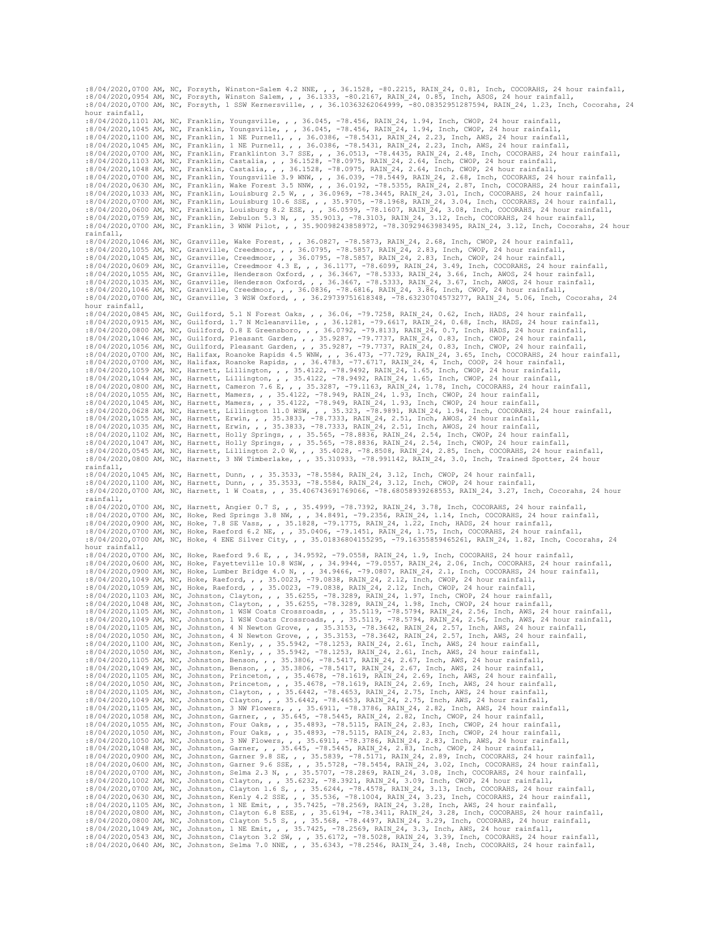:8/04/2020,0700 AM, NC, Forsyth, Winston-Salem 4.2 NNE, , , 36.1528, -80.2215, RAIN 24, 0.81, Inch, COCORAHS, 24 hour rainfall,<br>:8/04/2020,0954 AM, NC, Forsyth, Winston Salem, , , 36.1333, -80.2167, RAIN 24, 0.85, Inch, A hour rainfall,<br>:8/04/2020,1101 AM, NC, Franklin, Youngsville, ,, 36.045, -78.456, RAIN 24, 1.94, Inch, CWOP, 24 hour rainfall,<br>:8/04/2020,1101 AM, NC, Franklin, Youngsville, ,, 36.045, -78.456, RAIN 24, 1.94, Inch, CWOP, 2 :8/04/2020,0700 AM, NC, Franklin, Youngsville 3.9 WNW, , , 36.039, -78.5449, RAIN 24, 2.68, Inch, COCORAHS, 24 hour rainfall, :8/04/2020,0630 AM, NC, Franklin, Wake Forest 3.5 NNW, , , 36.0192, -78.5355, RAIN 24, 2.87, Inc :8/04/2020,0759 AM, NC, Franklin, Zebulon 5.3 N, , , 35.9013, -78.3103, RAIN 24, 3.12, Inch, COCORAHS, 24 hour rainfall,<br>:8/04/2020,0700 AM, NC, Franklin, 3 WNW Pilot, , , 35.90098243858972, -78.30929463983495, RAIN 24, 3. rainfall, :8/04/2020,1046 AM, NC, Granville, Wake Forest, , , 36.0827, -78.5873, RAIN 24, 2.68, Inch, CWOP, 24 hour rainfall,<br>:8/04/2020,1055 AM, NC, Granville, Creedmoor, , , 36.0795, -78.5857, RAIN 24, 2.83, Inch, CWOP, 24 hour ra hour rainfall,<br>
:8/04/2020,0845 AM, NC, Guilford, 5.1 N Forest Oaks, , , 36.06, -79.7258, RAIN 24, 0.62, Inch, HADS, 24 hour rainfall,<br>
:8/04/2020,0815 AM, NC, Guilford, 1.7 N Mcleansville, , , 36.1281, -79.6617, RAIN 24, :8/04/2020,0800 AM, NC, Harnett, Cameron 7.6 E, , , 35.3287, -79.1163, RAIN\_24, 1.78, Inch, COCORAHS, 24 hour rainfall, :8/04/2020,1055 AM, NC, Harnett, Mamers, , , 35.4122, -78.949, RAIN\_24, 1.93, Inch, CWOP, 24 hour rain :8/04/2020,1035 AM, NC, Harnett, Erwin, , , 35.3833, -78.7333, RAIN\_24, 2.51, Inch, AWOS, 24 hour rainfall, :8/04/2020,1102 AM, NC, Harnett, Holly Springs, , , 35.565, -78.8836, RAIN 24, 2.54, Inch, CWOP, 24 hour rainfall,<br>:8/04/2020,0545 AM, NC, Harnett, Holly Springs, , , 35.565, -78.8836, RAIN 24, 2.54, Inch, CWOP, 24 hour ra rainfall, :8/04/2020,1045 AM, NC, Harnett, Dunn, , , 35.3533, -78.5584, RAIN\_24, 3.12, Inch, CWOP, 24 hour rainfall, :8/04/2020,1100 AM, NC, Harnett, Dunn, , , 35.3533, -78.5584, RAIN\_24, 3.12, Inch, CWOP, 24 hour rainfall,<br>:8/04/2020,0700 AM, NC, Harnett, 1 W Coats, , , 35.406743691769066, -78.68058939268553, RAIN 24, 3.27, Inch, Cocora rainfall, :8/04/2020,0700 AM, NC, Harnett, Angier 0.7 S, , , 35.4999, -78.7392, RAIN\_24, 3.78, Inch, COCORAHS, 24 hour rainfall, :8/04/2020,0700 AM, NC, Hoke, Red Springs 3.8 NW, , , 34.8491, -79.2356, RAIN 24, 1.14, Inch, COCORAHS, 24 hour rainfall,<br>:8/04/2020,0900 AM, NC, Hoke, 7.8 SE Vass, , , 35.1828, -79.1775, RAIN 24, 1.22, Inch, HADS, 24 hour :8/04/2020,0700 AM, NC, Hoke, 4 ENE Silver City, , , 35.01836804155295, -79.16355859465261, RAIN\_24, 1.82, Inch, Cocorahs, 24 hour rainfall, :8/04/2020,0700 AM, NC, Hoke, Raeford 9.6 E, , , 34.9592, -79.0558, RAIN\_24, 1.9, Inch, COCORAHS, 24 hour rainfall, :8/04/2020,0600 AM, NC, Hoke, Fayetteville 10.8 WSW, , , 34.9944, -79.0557, RAIN 24, 2.06, Inch, COCORAHS, 24 hour rainfall, :8/04/2020,0900 AM, NC, Hoke, Lumber Bridge 4.0 N, , , 34.9466, -79.0807, RAIN 24, 2.1, Inch, COC :8/04/2020,1103 AM, NC, Johnston, Clayton, , , 35.6255, -78.3289, RAIN\_24, 1.97, Inch, CWOP, 24 hour rainfall, :8/04/2020,1048 AM, NC, Johnston, Clayton, , , 35.6255, -78.3289, RAIN\_24, 1.98, Inch, CWOP, 24 hour rainfall, :8/04/2020,1105 AM, NC, Johnston, 11WSW Coats Crossroads, , , 35.5119, -78.5794, RAIN\_24, 2.56, Inch, AWS, 24 hour rainfall,<br>:8/04/2020,1105 AM, NC, Johnston, 1 WSW Coats Crossroads, , , 35.5119, -78.5794, RAIN\_24, 2.56, I :8/04/2020,1049 AM, NC, Johnston, 1 WSW Coats Crossroads, , , 35.5119, -78.5794, RAIN 24, 2.56, Inch, AWS, 24 hour rainfall, :8/04/2020,1055 AM, NC, Johnston, 4 N Newton Grove, , , 35.3153, -78.3642, RAIN 24, 2.57, Inch, A :8/04/2020,1050 AM, NC, Johnston, Princeton, , , 35.4678, -78.1619, RAIN\_24, 2.69, Inch, AWS, 24 hour rainfall, :8/04/2020,1105 AM, NC, Johnston, Clayton, , , 35.6442, -78.4653, RAIN\_24, 2.75, Inch, AWS, 24 hour rainfall, :8/04/2020,1049 AM, NC, Johnston, Clayton, , , 35.6442, -78.4653, RAIN\_24, 2.75, Inch, AWS, 24 hour rainfall, :8/04/2020,1105 AM, NC, Johnston, 3 NW Flowers, , , 35.6911, -78.3786, RAIN 24, 2.82, Inch, AWS, 24 hour rainfall, :8/04/2020,1058 AM, NC, Johnston, Garner, , , 35.645, -78.5445, RAIN 24, 2.82, Inch, CWOP, 24 hour rainfall :8/04/2020,1048 AM, NC, Johnston, Garner, , , 35.645, -78.5445, RAIN 24, 2.83, Inch, CWOP, 24 hour rainfall,<br>:8/04/2020,0900 AM, NC, Johnston, Garner 9.8 SE, , , 35.5839, -78.5171, RAIN 24, 2.89, Inch, COCORAHS, 24 hour ra :8/04/2020,0700 AM, NC, Johnston, Clayton 1.6 S, , , 35.6244, -78.4578, RAIN 24, 3.13, Inch, COCORAHS, 24 hour rainfall,<br>:8/04/2020,0630 AM, NC, Johnston, Kenly 4.2 SSE, , , 35.536, -78.1004, RAIN 24, 3.23, Inch, COCORAHS, :8/04/2020,1105 AM, NC, Johnston, 1 NE Emit, , 35.7425, -78.2569, RAIN 24, 3.28, Inch, AWS, 24 hour rainfall,<br>:8/04/2020,0800 AM, NC, Johnston, Clayton 5.8 SES, , 35.568, -78.3411, RAIN 24, 3.28, Inch, COCORAHS, 24 hour r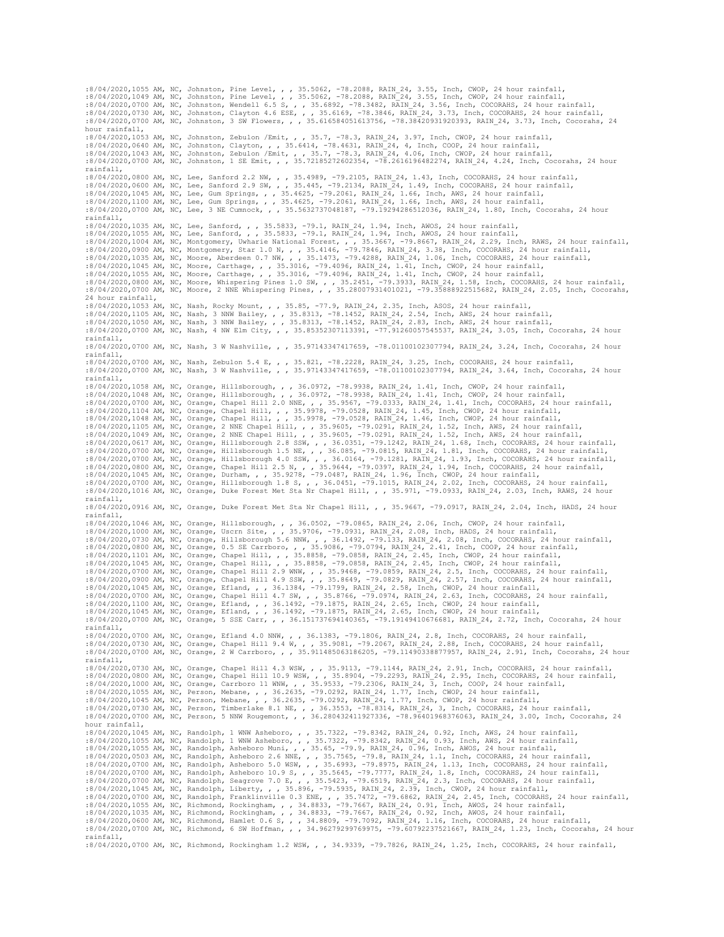:8/04/2020,1055 AM, NC, Johnston, Pine Level, , , 35.5062, -78.2088, RAIN\_24, 3.55, Inch, CWOP, 24 hour rainfall, :8/04/2020,1049 AM, NC, Johnston, Pine Level, , , 35.5062, -78.2088, RAIN\_24, 3.55, Inch, CWOP, 24 hour rainfall,<br>:8/04/2020,0700 AM, NC, Johnston, Wendell 6.5 S, , , 35.6892, -78.3482, RAIN 24, 3.56, Inch, COCORAHS, 24 ho :8/04/2020,0700 AM, NC, Johnston, 3 SW Flowers, , , 35.616584051613756, -78.38420931920393, RAIN\_24, 3.73, Inch, Cocorahs, 24 hour rainfall, :8/04/2020,1053 AM, NC, Johnston, Zebulon /Emit, , , 35.7, -78.3, RAIN\_24, 3.97, Inch, CWOP, 24 hour rainfall,<br>:8/04/2020,0640 AM, NC, Johnston, Clayton, , , 35.6414, -78.4631, RAIN\_24, 4, Inch, COOP, 24 hour rainfall,<br>:8/ rainfall, :8/04/2020,0800 AM, NC, Lee, Sanford 2.2 NW, , , 35.4989, -79.2105, RAIN 24, 1.43, Inch, COCORAHS, 24 hour rainfall,<br>:8/04/2020,0600 AM, NC, Lee, Sanford 2.9 SW, , , 35.445, -79.2134, RAIN 24, 1.49, Inch, COCORAHS, 24 hour rainfall, :8/04/2020,1035 AM, NC, Lee, Sanford, , , 35.5833, -79.1, RAIN\_24, 1.94, Inch, AWOS, 24 hour rainfall, :8/04/2020,1055 AM, NC, Lee, Sanford, , 35.5833, -79.1, RAIN\_24, 1.94, Inch, AWOS, 24 hour rainfall,<br>:8/04/2020,1004 AM, NC, Montgomery, Uwharie National Forest, , 35.3667, -79.8667, RAIN\_24, 2.29, Inch, RAWS, 24 hour rain 24 hour rainfall, :8/04/2020,1053 AM, NC, Nash, Rocky Mount, , , 35.85, -77.9, RAIN\_24, 2.35, Inch, ASOS, 24 hour rainfall, :8/04/2020,1105 AM, NC, Nash, 3 NNW Bailey, , , 35.8313, -78.1452, RAIN\_24, 2.54, Inch, AWS, 24 hour rainfall, :8/04/2020,1050 AM, NC, Nash, 3 NNW Bailey, , , 35.8313, -78.1452, RAIN\_24, 2.83, Inch, AWS, 24 hour rainfall, :8/04/2020,0700 AM, NC, Nash, 4 NW Elm City, , , 35.85352307113391, -77.91260057545537, RAIN\_24, 3.05, Inch, Cocorahs, 24 hour rainfall, :8/04/2020,0700 AM, NC, Nash, 3 W Nashville, , , 35.97143347417659, -78.01100102307794, RAIN\_24, 3.24, Inch, Cocorahs, 24 hour rainfall, :8/04/2020,0700 AM, NC, Nash, Zebulon 5.4 E, , , 35.821, -78.2228, RAIN 24, 3.25, Inch, COCORAHS, 24 hour rainfall,<br>:8/04/2020,0700 AM, NC, Nash, 3 W Nashville, , , 35.97143347417659, -78.01100102307794, RAIN 24, 3.64, Inc rainfall, :8/04/2020,1058 AM, NC, Orange, Hillsborough, , , 36.0972, -78.9938, RAIN\_24, 1.41, Inch, CWOP, 24 hour rainfall,<br>:8/04/2020,1048 AM, NC, Orange, Hillsborough, , , 36.0972, -78.9938, RAIN\_24, 1.41, Inch, CWOP, 24 hour rain :8/04/2020,1105 AM, NC, Orange, 2 NNE Chapel Hill, ,, 35.9605, -79.0291, RAIN 24, 1.52, Inch, AWS, 24 hour rainfall,<br>:8/04/2020,1049 AM, NC, Orange, 2 NNE Chapel Hill, ,, 35.9605, -79.0291, RAIN 24, 1.52, Inch, AWS, 24 hou rainfall, :8/04/2020,0916 AM, NC, Orange, Duke Forest Met Sta Nr Chapel Hill, , , 35.9667, -79.0917, RAIN\_24, 2.04, Inch, HADS, 24 hour ....<br>rainfall, :8/04/2020,1046 AM, NC, Orange, Hillsborough, , , 36.0502, -79.0865, RAIN 24, 2.06, Inch, CWOP, 24 hour rainfall,<br>:8/04/2020,1000 AM, NC, Orange, Hillsborough 5.6 NNW, , , 36.9706, -79.0931, RAIN 24, 2.08, Inch, HADS, 24 h :8/04/2020,1101 AM, NC, Orange, Chapel Hill, , , 35.8858, -79.0858, RAIN\_24, 2.45, Inch, CWOP, 24 hour rainfall, :8/04/2020,1045 AM, NC, Orange, Chapel Hill, , , 35.8858, -79.0858, RAIN\_24, 2.45, Inch, CWOP, 24 hour rainfall,<br>:8/04/2020,0700 AM, NC, Orange, Chapel Hill 2.9 WNW, , , 35.9468, -79.0859, RAIN 24, 2.5, Inch, COCORAHS, 24 :8/04/2020,0900 AM, NC, Orange, Chapel Hill 4.9 SSW, , , 35.8649, -79.0829, RAIN 24, 2.57, Inch, COCORAHS, 24 hour rainfall, :8/04/2020,0045 AM, NC, Orange, Efland, , , 36.1492, -79.1799, RAIN 24, 2.68, Inch, COCORAHS, 24 rainfall, :8/04/2020,0700 AM, NC, Orange, Efland 4.0 NNW, , , 36.1383, -79.1806, RAIN\_24, 2.8, Inch, COCORAHS, 24 hour rainfall,<br>:8/04/2020,0730 AM, NC, Orange, Chapel Hill 9.4 W, , , 35.9081, -79.2067, RAIN 24, 2.88, Inch, COCORAH rainfall, :8/04/2020,0730 AM, NC, Orange, Chapel Hill 4.3 WSW, , , 35.9113, -79.1144, RAIN\_24, 2.91, Inch, COCORAHS, 24 hour rainfall, :8/04/2020,0800 AM, NC, Orange, Chapel Hill 10.9 WSW, , , 35.8904, -79.2293, RAIN 24, 2.95, Inch, COCORAHS, 24 hour rainfall,<br>:8/04/2020,1000 AM, NC, Orange, Carrboro 11 WNW, , , 35.9533, -79.2306, RAIN 24, 3, Inch, COOP, :8/04/2020,1055 AM, NC, Person, Mebane, , , 36.2635, -79.0292, RAIN\_24, 1.77, Inch, CWOP, 24 hour rainfall,<br>:8/04/2020,0730 AM, NC, Person, Mebane, , , 36.2635, -79.0292, RAIN\_24, 1.77, Inch, CWOP, 24 hour rainfall,<br>:8/04/ hour rainfall, :8/04/2020,1045 AM, NC, Randolph, 1 WNW Asheboro, , , 35.7322, -79.8342, RAIN\_24, 0.92, Inch, AWS, 24 hour rainfall, :8/04/2020,1055 AM, NC, Randolph, 1 WNW Asheboro, , , 35.7322, -79.8342, RAIN\_24, 0.93, Inch, AWS, 24 hour rainfall, :8/04/2020,1055 AM, NC, Randolph, Asheboro Muni, , , 35.65, -79.9, RAIN 24, 0.96, Inch, AWOS, 24 hour rainfall,<br>:8/04/2020,0503 AM, NC, Randolph, Asheboro 2.6 NNE, , , 35.7565, -79.8, RAIN 24, 1.13, Inch, COCORAHS, 24 hour :8/04/2020,1055 AM, NC, Richmond, Rockingham, , , 34.8833, -79.7667, RAIN\_24, 0.91, Inch, AWOS, 24 hour rainfall,<br>:8/04/2020,1035 AM, NC, Richmond, Rockingham, , , 34.8833, -79.7667, RAIN\_24, 0.92, Inch, AWOS, 24 hour rain rainfall, :8/04/2020,0700 AM, NC, Richmond, Rockingham 1.2 WSW, , , 34.9339, -79.7826, RAIN\_24, 1.25, Inch, COCORAHS, 24 hour rainfall,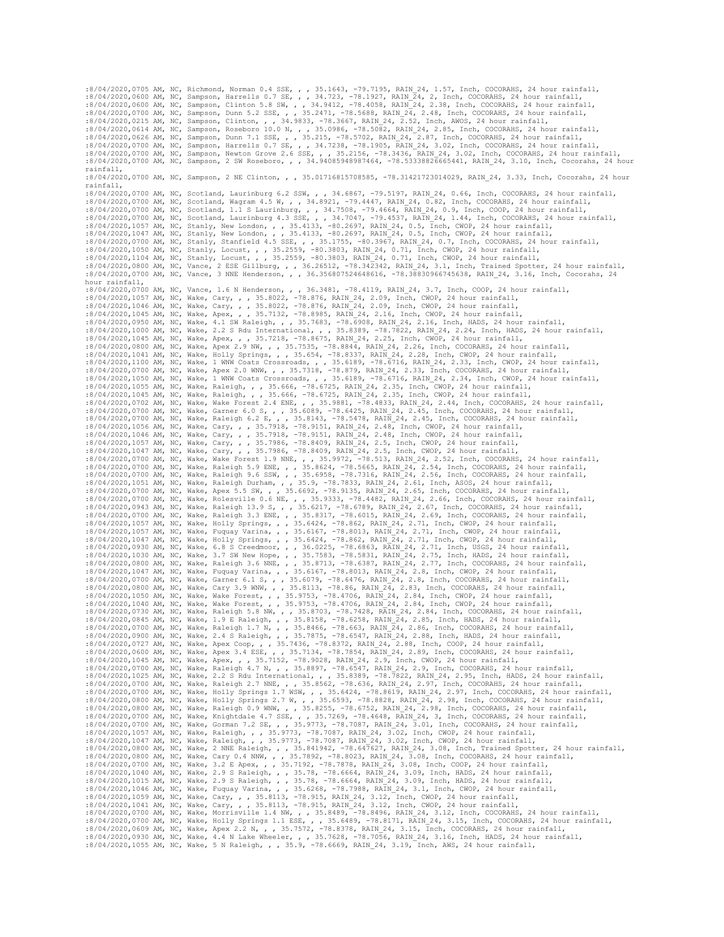:8/04/2020,0705 AM, NC, Richmond, Norman 0.4 SSE, , , 35.1643, -79.7195, RAIN 24, 1.57, Inch, COCORAHS, 24 hour rainfall, :8/04/2020,0600 AM, NC, Sampson, Harrells 0.7 SE, , , 34.723, -78.1927, RAIN 24, 2, Inch, COCORAHS, :8/04/2020,0215 AM, NC, Sampson, Clinton, , , 34.9833, -78.3667, RAIN 24, 2.52, Inch, AWOS, 24 hour rainfall,<br>:8/04/2020,0614 AM, NC, Sampson, Roseboro 10.0 N, , , 35.0986, -78.5082, RAIN 24, 2.85, Inch, COCORAHS, 24 hour rainfall, :8/04/2020,0700 AM, NC, Sampson, 2 NE Clinton, , , 35.01716815708585, -78.31421723014029, RAIN\_24, 3.33, Inch, Cocorahs, 24 hour rainfall,  $\frac{1}{18/04/2020}$ ,0700 AM, NC, Scotland, Laurinburg 6.2 SSW, , , 34.6867, -79.5197, RAIN\_24, 0.66, Inch, COCORAHS, 24 hour rainfall, :8/04/2020,0700 AM, NC, Scotland, Wagram 4.5 W, , , 34.8921, -79.4447, RAIN 24, 0.82, Inch, COCORAHS, 24 hour rainfall,<br>:8/04/2020,0700 AM, NC, Scotland, 1.1 S Laurinburg, , , 34.7508, -79.4664, RAIN 24, 0.9, Inch, COOP, 2 :8/04/2020,0700 AM, NC, Scotland, Laurinburg 4.3 SSE, , , 34.7047, -79.4537, RAIN 24, 1.44, Inch, COCORAHS, 24 hour rainfall,<br>:8/04/2020,1057 AM, NC, Stanly, New London, , , 35.4133, -80.2697, RAIN 24, 0.5, Inch, CWOP, 24 :8/04/2020,1047 AM, NC, Stanly, New London, , , 35.4133, -80.2697, RAIN\_24, 0.5, Inch, CWOP, 24 hour rainfall,<br>:8/04/2020,0700 AM, NC, Stanly, Stanfield 4.5 SSE, , , 35.1755, -80.3967, RAIN\_24, 0.7, Inch, COCORAHS, 24 hour :8/04/2020,1104 AM, NC, Stanly, Locust, , , 35.2559, -80.3803, RAIN\_24, 0.71, Inch, CWOP, 24 hour rainfall,<br>:8/04/2020,0800 AM, NC, Vance, 2 ESE Gillburg, , , 36.26512, -78.342342, RAIN\_24, 3.1, Inch, Trained Spotter, 24 h hour rainfall, :8/04/2020,0700 AM, NC, Vance, 1.6 N Henderson, , , 36.3481, -78.4119, RAIN\_24, 3.7, Inch, COOP, 24 hour rainfall, :8/04/2020,1057 AM, NC, Wake, Cary, , , 35.8022, -78.876, RAIN\_24, 2.09, Inch, CWOP, 24 hour rainfall, :8/04/2020,1046 AM, NC, Wake, Cary, , , 35.8022, -78.876, RAIN\_24, 2.09, Inch, CWOP, 24 hour rainfall, :8/04/2020,1045 AM, NC, Wake, Apex, , , 35.7132, -78.8985, RAIN\_24, 2.16, Inch, CWOP, 24 hour rainfall, :8/04/2020,0950 AM, NC, Wake, 4.1 SW Raleigh, , , 35.7683, -78.6908, RAIN\_24, 2.16, Inch, HADS, 24 hour rainfall, :8/04/2020,1000 AM, NC, Wake, 2.2 S Rdu International, , , 35.8389, -78.7822, RAIN\_24, 2.24, Inch, HADS, 24 hour rainfall, :8/04/2020,1045 AM, NC, Wake, Apex, , , 35.7218, -78.8675, RAIN\_24, 2.25, Inch, CWOP, 24 hour rainf :8/04/2020,0700 AM, NC, Wake, Apex 2.0 WNW, , , 35.7318, -78.879, RAIN\_24, 2.33, Inch, COCORAHS, 24 hour rainfall,<br>:8/04/2020,1050 AM, NC, Wake, 1 WNW Coats Crossroads, , , 35.6189, -78.6716, RAIN 24, 2.34, Inch, CWOP, 24 :8/04/2020,1055 AM, NC, Wake, Raleigh, , , 35.666, -78.6725, RAIN\_24, 2.35, Inch, CWOP, 24 hour rainfall,<br>:8/04/2020,1045 AM, NC, Wake, Raleigh, , , 35.666, -78.6725, RAIN\_24, 2.35, Inch, CWOP, 24 hour rainfall,<br>:8/04/2020 :8/04/2020,1056 AM, NC, Wake, Cary, , 35.7918, -78.9151, RAIN\_24, 2.48, Inch, CWOP, 24 hour rainfall,<br>:8/04/2020,1046 AM, NC, Wake, Cary, , 35.7918, -78.9151, RAIN\_24, 2.48, Inch, CWOP, 24 hour rainfall,<br>:8/04/2020,1057 AM :8/04/2020,0700 AM, NC, Wake, Raleigh 5.9 ENE, , , 35.8624, -78.5665, RAIN\_24, 2.54, Inch, COCORAHS, 24 hour rainfall,<br>:8/04/2020,0700 AM, NC, Wake, Raleigh 9.6 SSW, , , 35.6958, -78.7316, RAIN\_24, 2.56, Inch, COCORAHS, 24 :8/04/2020,1051 AM, NC, Wake, Raleigh Durham, , , 35.9, -78.7833, RAIN 24, 2.61, Inch, ASOS, 24 hour rainfall,<br>:8/04/2020,0700 AM, NC, Wake, Apex 5.5 SW, , , 35.6692, -78.9135, RAIN 24, 2.65, Inch, COCORAHS, 24 hour rainfa :8/04/2020,1030 AM, NC, Wake, 3.7 SW New Hope, , , 35.7583, -78.5831, RAIN\_24, 2.75, Inch, HADS, 24 hour rainfall, :8/04/2020,0800 AM, NC, Wake, Raleigh 3.6 NNE, , , 35.8713, -78.6387, RAIN 24, 2.77, Inch, COCORAHS, 24 hour rainfall, :8/04/2020,1047 AM, NC, Wake, Fuquay Varina, , , 35.6167, -78.8013, RAIN 24, 2.8, Inch, CWOP, 24 hour r :8/04/2020,1050 AM, NC, Wake, Wake Forest, , , 35.9753, -78.4706, RAIN 24, 2.84, Inch, CWOP, 24 hour rainfall,<br>:8/04/2020,1040 AM, NC, Wake, Wake Forest, , , 35.9753, -78.4706, RAIN 24, 2.84, Inch, CWOP, 24 hour rainfall,<br> :8/04/2020,0727 AM, NC, Wake, Apex Coop, , , 35.7436, -78.8372, RAIN 24, 2.88, Inch, COOP, 24 hour rainfall,<br>:8/04/2020,0600 AM, NC, Wake, Apex 3.4 ESE, , , 35.7134, -78.7854, RAIN 24, 2.89, Inch, COCORAHS, 24 hour rainfal :8/04/2020,0700 AM, NC, Wake, Raleigh 2.7 NNE, , , 35.8562, -78.636, RAIN\_24, 2.97, Inch, COCORAHS, 24 hour rainfall,  $\frac{1}{2}$  WSW, , , 35.6424, -78.8619, RAIN 24, 2.97, Inch, COCORAHS, 24 hour rainfall, W, , , 35.6593, -78.8828, RAIN 24, 2.98, Inch, COCORAHS, 24 hour rainfall, :8/04/2020,0800 AM, NC, Wake, Holly Springs 2.7 W, , , 35.6593, -78.8828, RAIN 24, 2.98, Inch, COCORAHS, 24 hour rainfall,<br>:8/04/2020,0800 AM, NC, Wake, Raleigh 0.9 WNW, , , 35.8255, -78.6752, RAIN 24, 2.98, Inch, COCORAHS :8/04/2020,0700 AM, NC, Wake, Knightdale 4.7 SSE, , , 35.7269, -78.4648, RAIN 24, 3, Inch, COCORAHS, 24 hour rainfall,<br>:8/04/2020,0700 AM, NC, Wake, Gorman 7.2 SE, , , 35.9773, -78.7087, RAIN 24, 3.01, Inch, COCORAHS, 24 h :8/04/2020,0800 AM, NC, Wake, 2 NNE Raleigh, , , 35.841942, -78.647627, RAIN 24, 3.08, Inch, Trained Spotter, 24 hour rainfall, :8/04/2020,0800 AM, NC, Wake, Cary 0.4 NNW, , , 35.7892, -78.8023, RAIN 24, 3.08, Inch, COCORA :8/04/2020,1046 AM, NC, Wake, Fuquay Varina, , , 35.6268, -78.7988, RAIN\_24, 3.1, Inch, CWOP, 24 hour rainfall,<br>:8/04/2020,1059 AM, NC, Wake, Cary, , , 35.8113, -78.915, RAIN 24, 3.12, Inch, CWOP, 24 hour rainfall, :8/04/2020,1041 AM, NC, Wake, Cary, , 35.8113, -78.915, RAIN 24, 3.12, Inch, CWOP, 24 hour rainfall, :8/04/2020,0700 AM, NC, Wake, Morrisville 1.4 NW, , 35.8489, -78.8496, RAIN 24, 3.15, Inch, COCRAHS, 24 hour rainfall, :8